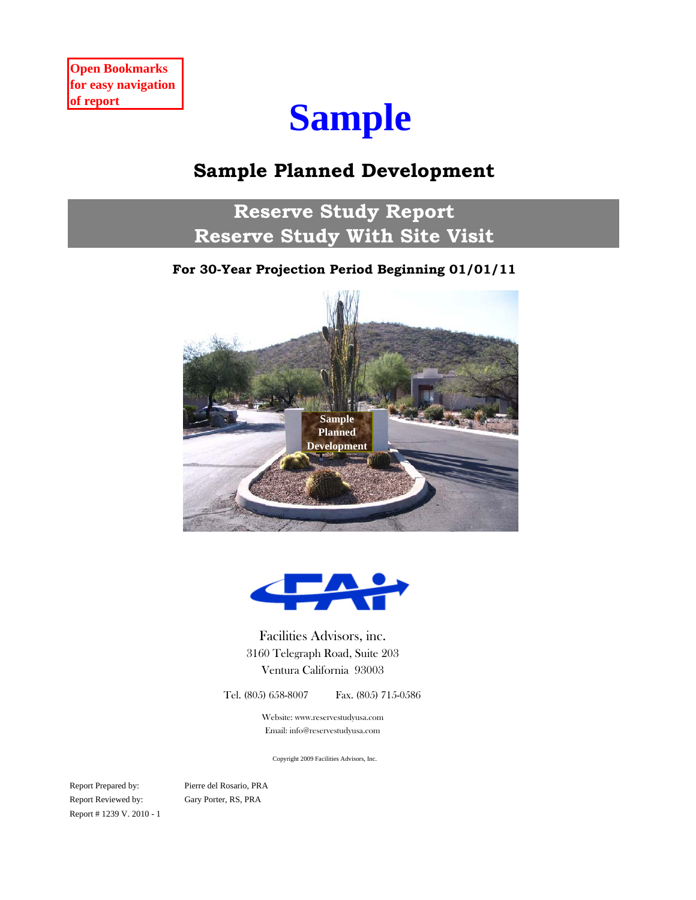# **Sample**

## **Sample Planned Development**

**Reserve Study Report Reserve Study With Site Visit**

## **For 30-Year Projection Period Beginning 01/01/11**





Facilities Advisors, inc. Ventura California 93003 3160 Telegraph Road, Suite 203

Tel. (805) 658-8007 Fax. (805) 715-0586

Website: www.reservestudyusa.com Email: info@reservestudyusa.com

Copyright 2009 Facilities Advisors, Inc.

Report Prepared by: Report Reviewed by: Gary Porter, RS, PRA Report # 1239 V. 2010 - 1

Pierre del Rosario, PRA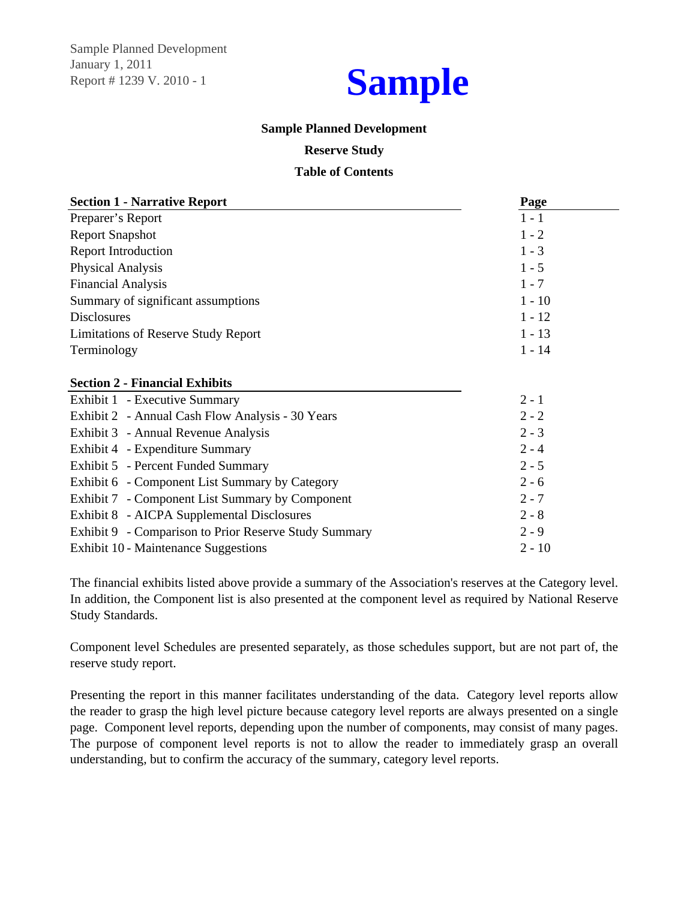January 1, 2011 Report # 1239 V. 2010 - 1 Sample Planned Development



### **Sample Planned Development**

### **Reserve Study**

### **Table of Contents**

| <b>Section 1 - Narrative Report</b>                   | Page     |
|-------------------------------------------------------|----------|
| Preparer's Report                                     | $1 - 1$  |
| <b>Report Snapshot</b>                                | $1 - 2$  |
| <b>Report Introduction</b>                            | $1 - 3$  |
| Physical Analysis                                     | $1 - 5$  |
| <b>Financial Analysis</b>                             | $1 - 7$  |
| Summary of significant assumptions                    | $1 - 10$ |
| <b>Disclosures</b>                                    | $1 - 12$ |
| <b>Limitations of Reserve Study Report</b>            | $1 - 13$ |
| Terminology                                           | $1 - 14$ |
|                                                       |          |
| <b>Section 2 - Financial Exhibits</b>                 |          |
| Exhibit 1 - Executive Summary                         | $2 - 1$  |
| Exhibit 2 - Annual Cash Flow Analysis - 30 Years      | $2 - 2$  |
| Exhibit 3 - Annual Revenue Analysis                   | $2 - 3$  |
| Exhibit 4 - Expenditure Summary                       | $2 - 4$  |
| Exhibit 5 - Percent Funded Summary                    | $2 - 5$  |
| Exhibit 6 - Component List Summary by Category        | $2 - 6$  |
| Exhibit 7 - Component List Summary by Component       | $2 - 7$  |
| Exhibit 8 - AICPA Supplemental Disclosures            | $2 - 8$  |
| Exhibit 9 - Comparison to Prior Reserve Study Summary | $2 - 9$  |
| Exhibit 10 - Maintenance Suggestions                  | $2 - 10$ |

The financial exhibits listed above provide a summary of the Association's reserves at the Category level. In addition, the Component list is also presented at the component level as required by National Reserve Study Standards.

Component level Schedules are presented separately, as those schedules support, but are not part of, the reserve study report.

Presenting the report in this manner facilitates understanding of the data. Category level reports allow the reader to grasp the high level picture because category level reports are always presented on a single page. Component level reports, depending upon the number of components, may consist of many pages. The purpose of component level reports is not to allow the reader to immediately grasp an overall understanding, but to confirm the accuracy of the summary, category level reports.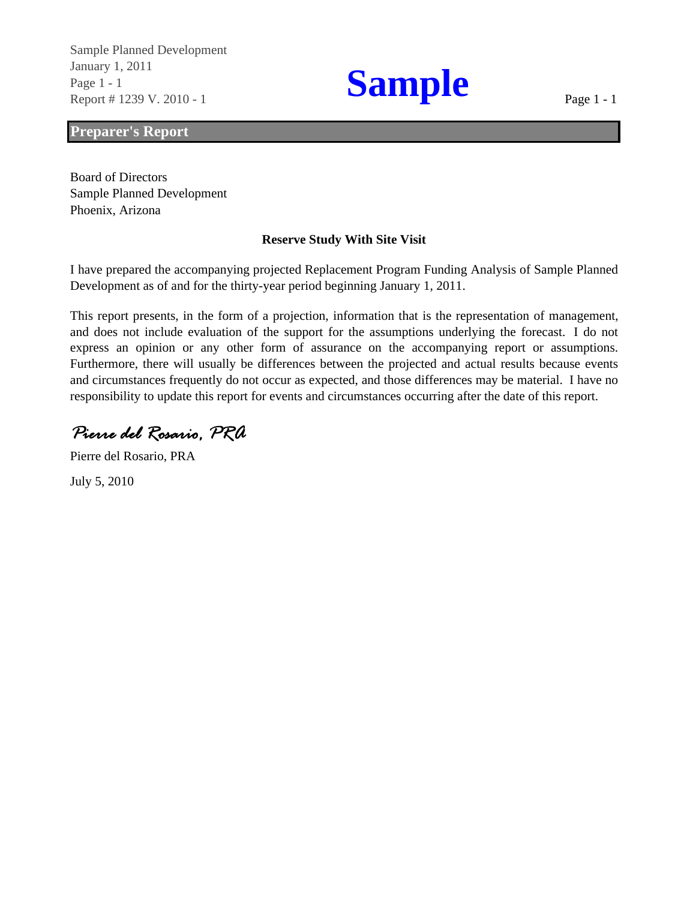Report # 1239 V. 2010 - 1 January 1, 2011<br>Page 1 - 1<br>Report # 1239 V 2010 - 1 Sample Planned Development

### **Preparer's Report**

Sample Planned Development Board of Directors Phoenix, Arizona

### **Reserve Study With Site Visit**

I have prepared the accompanying projected Replacement Program Funding Analysis of Sample Planned Development as of and for the thirty-year period beginning January 1, 2011.

This report presents, in the form of a projection, information that is the representation of management, and does not include evaluation of the support for the assumptions underlying the forecast. I do not express an opinion or any other form of assurance on the accompanying report or assumptions. Furthermore, there will usually be differences between the projected and actual results because events and circumstances frequently do not occur as expected, and those differences may be material. I have no responsibility to update this report for events and circumstances occurring after the date of this report.

*Pierre del Rosario, PRA*

Pierre del Rosario, PRA

July 5, 2010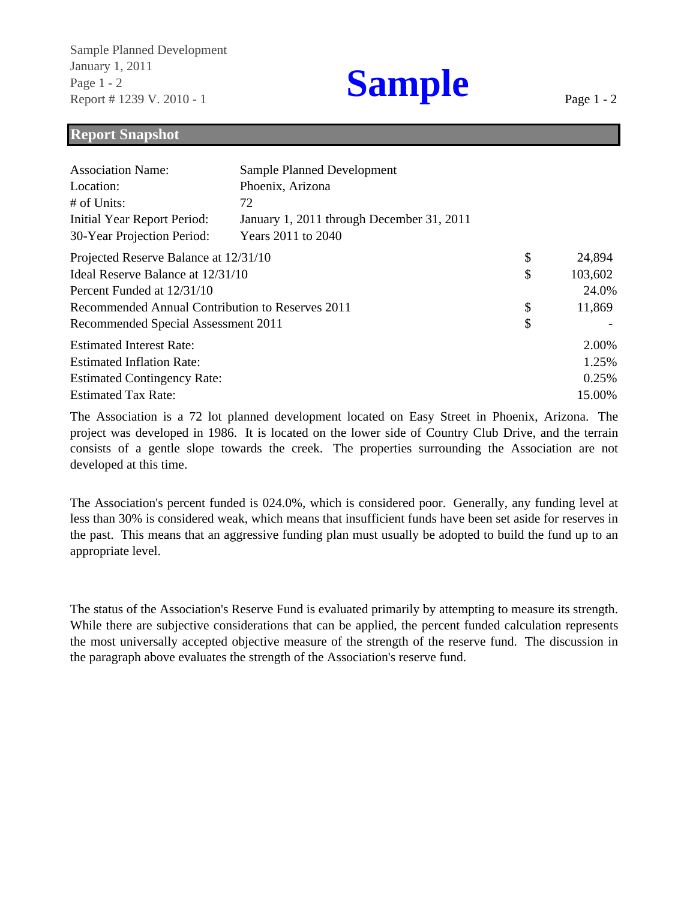Report # 1239 V. 2010 - 1 January 1, 2011<br>Page 1 - 2<br>Report # 1239 V 2010 - 1 Sample Planned Development

Page 1 - 2

### **Report Snapshot**

| <b>Association Name:</b>                         | Sample Planned Development                |               |
|--------------------------------------------------|-------------------------------------------|---------------|
| Location:                                        | Phoenix, Arizona                          |               |
| # of Units:                                      | 72                                        |               |
| Initial Year Report Period:                      | January 1, 2011 through December 31, 2011 |               |
| 30-Year Projection Period:                       | Years 2011 to 2040                        |               |
| Projected Reserve Balance at 12/31/10            |                                           | \$<br>24,894  |
| Ideal Reserve Balance at 12/31/10                |                                           | \$<br>103,602 |
| Percent Funded at 12/31/10                       |                                           | 24.0%         |
| Recommended Annual Contribution to Reserves 2011 |                                           | \$<br>11,869  |
| Recommended Special Assessment 2011              |                                           | \$            |
| <b>Estimated Interest Rate:</b>                  |                                           | 2.00%         |
| <b>Estimated Inflation Rate:</b>                 |                                           | 1.25%         |
| <b>Estimated Contingency Rate:</b>               |                                           | 0.25%         |
| <b>Estimated Tax Rate:</b>                       |                                           | 15.00%        |

The Association is a 72 lot planned development located on Easy Street in Phoenix, Arizona. The project was developed in 1986. It is located on the lower side of Country Club Drive, and the terrain consists of a gentle slope towards the creek. The properties surrounding the Association are not developed at this time.

The Association's percent funded is 024.0%, which is considered poor. Generally, any funding level at less than 30% is considered weak, which means that insufficient funds have been set aside for reserves in the past. This means that an aggressive funding plan must usually be adopted to build the fund up to an appropriate level.

The status of the Association's Reserve Fund is evaluated primarily by attempting to measure its strength. While there are subjective considerations that can be applied, the percent funded calculation represents the most universally accepted objective measure of the strength of the reserve fund. The discussion in the paragraph above evaluates the strength of the Association's reserve fund.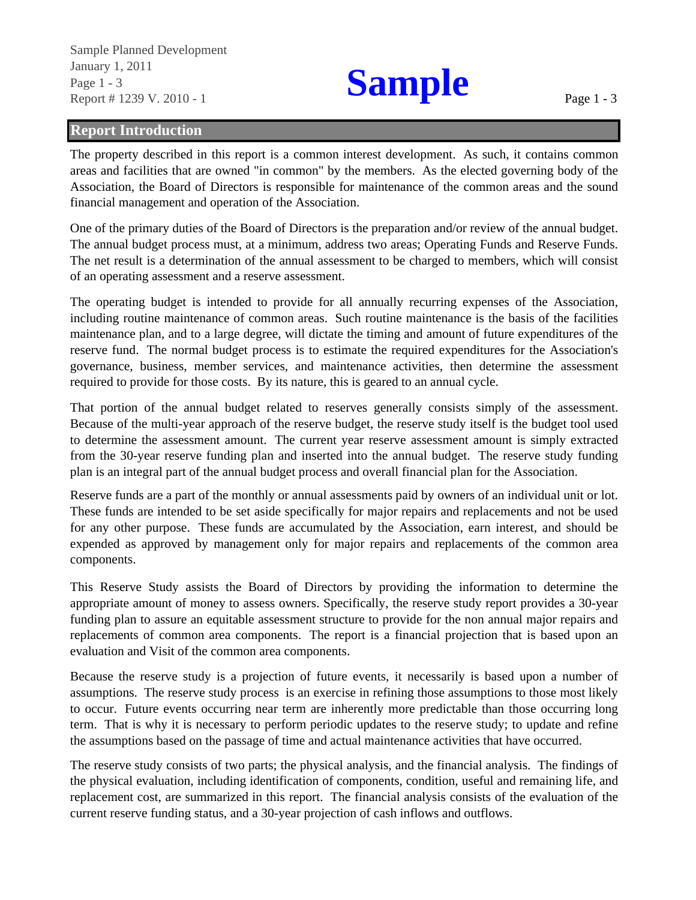Report # 1239 V. 2010 - 1 January 1, 2011<br>Page 1 - 3<br>Penort # 1230 V 2010 1 Sample Planned Development Page 1 - 3

### **Report Introduction**

The property described in this report is a common interest development. As such, it contains common areas and facilities that are owned "in common" by the members. As the elected governing body of the Association, the Board of Directors is responsible for maintenance of the common areas and the sound financial management and operation of the Association.

One of the primary duties of the Board of Directors is the preparation and/or review of the annual budget. The annual budget process must, at a minimum, address two areas; Operating Funds and Reserve Funds. The net result is a determination of the annual assessment to be charged to members, which will consist of an operating assessment and a reserve assessment.

The operating budget is intended to provide for all annually recurring expenses of the Association, including routine maintenance of common areas. Such routine maintenance is the basis of the facilities maintenance plan, and to a large degree, will dictate the timing and amount of future expenditures of the reserve fund. The normal budget process is to estimate the required expenditures for the Association's governance, business, member services, and maintenance activities, then determine the assessment required to provide for those costs. By its nature, this is geared to an annual cycle.

That portion of the annual budget related to reserves generally consists simply of the assessment. Because of the multi-year approach of the reserve budget, the reserve study itself is the budget tool used to determine the assessment amount. The current year reserve assessment amount is simply extracted from the 30-year reserve funding plan and inserted into the annual budget. The reserve study funding plan is an integral part of the annual budget process and overall financial plan for the Association.

Reserve funds are a part of the monthly or annual assessments paid by owners of an individual unit or lot. These funds are intended to be set aside specifically for major repairs and replacements and not be used for any other purpose. These funds are accumulated by the Association, earn interest, and should be expended as approved by management only for major repairs and replacements of the common area components.

This Reserve Study assists the Board of Directors by providing the information to determine the appropriate amount of money to assess owners. Specifically, the reserve study report provides a 30-year funding plan to assure an equitable assessment structure to provide for the non annual major repairs and replacements of common area components. The report is a financial projection that is based upon an evaluation and Visit of the common area components.

Because the reserve study is a projection of future events, it necessarily is based upon a number of assumptions. The reserve study process is an exercise in refining those assumptions to those most likely to occur. Future events occurring near term are inherently more predictable than those occurring long term. That is why it is necessary to perform periodic updates to the reserve study; to update and refine the assumptions based on the passage of time and actual maintenance activities that have occurred.

The reserve study consists of two parts; the physical analysis, and the financial analysis. The findings of the physical evaluation, including identification of components, condition, useful and remaining life, and replacement cost, are summarized in this report. The financial analysis consists of the evaluation of the current reserve funding status, and a 30-year projection of cash inflows and outflows.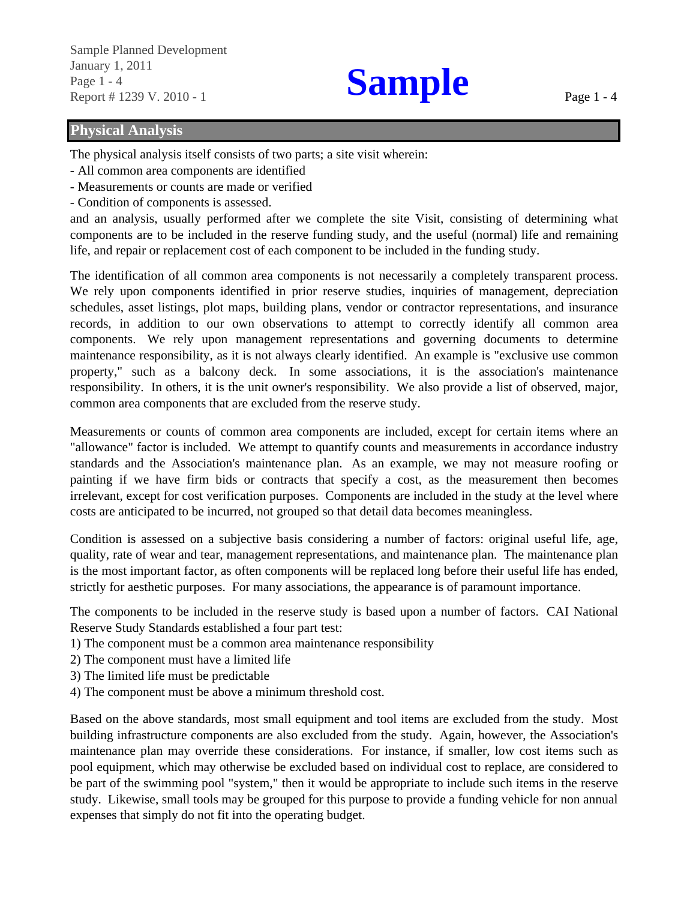Page 1 - 4<br>**Page 1 - 4**<br>**Report # 1239 V 2010 - 1** Sample Planned Development January 1, 2011 Report # 1239 V. 2010 - 1

### **Physical Analysis**

The physical analysis itself consists of two parts; a site visit wherein:

- All common area components are identified
- Measurements or counts are made or verified
- Condition of components is assessed.

and an analysis, usually performed after we complete the site Visit, consisting of determining what components are to be included in the reserve funding study, and the useful (normal) life and remaining life, and repair or replacement cost of each component to be included in the funding study.

The identification of all common area components is not necessarily a completely transparent process. We rely upon components identified in prior reserve studies, inquiries of management, depreciation schedules, asset listings, plot maps, building plans, vendor or contractor representations, and insurance records, in addition to our own observations to attempt to correctly identify all common area components. We rely upon management representations and governing documents to determine maintenance responsibility, as it is not always clearly identified. An example is "exclusive use common property," such as a balcony deck. In some associations, it is the association's maintenance responsibility. In others, it is the unit owner's responsibility. We also provide a list of observed, major, common area components that are excluded from the reserve study.

Measurements or counts of common area components are included, except for certain items where an "allowance" factor is included. We attempt to quantify counts and measurements in accordance industry standards and the Association's maintenance plan. As an example, we may not measure roofing or painting if we have firm bids or contracts that specify a cost, as the measurement then becomes irrelevant, except for cost verification purposes. Components are included in the study at the level where costs are anticipated to be incurred, not grouped so that detail data becomes meaningless.

Condition is assessed on a subjective basis considering a number of factors: original useful life, age, quality, rate of wear and tear, management representations, and maintenance plan. The maintenance plan is the most important factor, as often components will be replaced long before their useful life has ended, strictly for aesthetic purposes. For many associations, the appearance is of paramount importance.

The components to be included in the reserve study is based upon a number of factors. CAI National Reserve Study Standards established a four part test:

- 1) The component must be a common area maintenance responsibility
- 2) The component must have a limited life
- 3) The limited life must be predictable
- 4) The component must be above a minimum threshold cost.

Based on the above standards, most small equipment and tool items are excluded from the study. Most building infrastructure components are also excluded from the study. Again, however, the Association's maintenance plan may override these considerations. For instance, if smaller, low cost items such as pool equipment, which may otherwise be excluded based on individual cost to replace, are considered to be part of the swimming pool "system," then it would be appropriate to include such items in the reserve study. Likewise, small tools may be grouped for this purpose to provide a funding vehicle for non annual expenses that simply do not fit into the operating budget.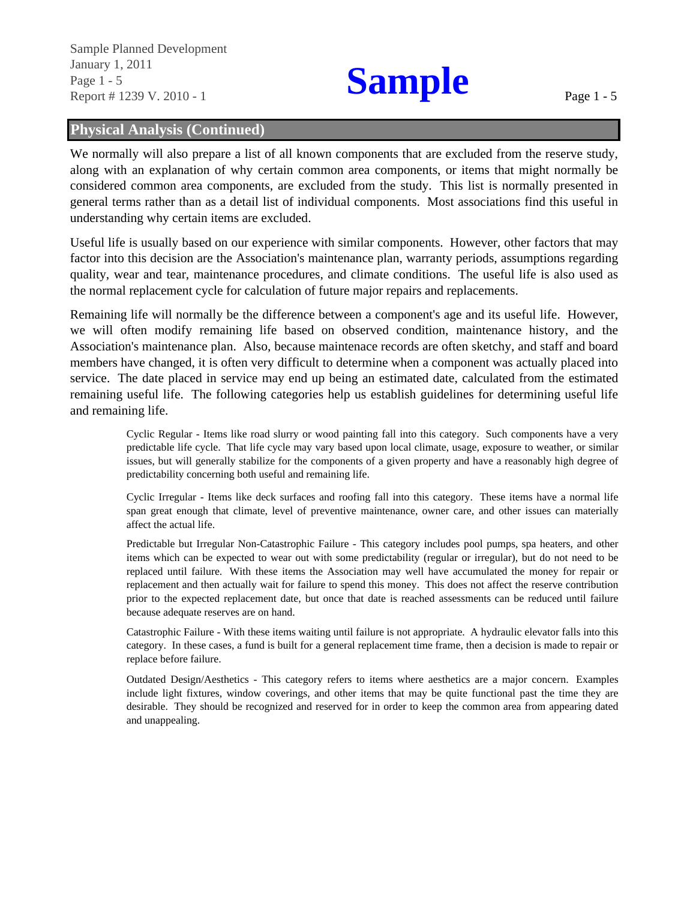Sample Planned Development January 1, 2011 Page 1 - 5 Report # 1239 V. 2010 - 1

# **Sample**

## **Physical Analysis (Continued)**

We normally will also prepare a list of all known components that are excluded from the reserve study, along with an explanation of why certain common area components, or items that might normally be considered common area components, are excluded from the study. This list is normally presented in general terms rather than as a detail list of individual components. Most associations find this useful in understanding why certain items are excluded.

Useful life is usually based on our experience with similar components. However, other factors that may factor into this decision are the Association's maintenance plan, warranty periods, assumptions regarding quality, wear and tear, maintenance procedures, and climate conditions. The useful life is also used as the normal replacement cycle for calculation of future major repairs and replacements.

Remaining life will normally be the difference between a component's age and its useful life. However, we will often modify remaining life based on observed condition, maintenance history, and the Association's maintenance plan. Also, because maintenace records are often sketchy, and staff and board members have changed, it is often very difficult to determine when a component was actually placed into service. The date placed in service may end up being an estimated date, calculated from the estimated remaining useful life. The following categories help us establish guidelines for determining useful life and remaining life.

> Cyclic Regular - Items like road slurry or wood painting fall into this category. Such components have a very predictable life cycle. That life cycle may vary based upon local climate, usage, exposure to weather, or similar issues, but will generally stabilize for the components of a given property and have a reasonably high degree of predictability concerning both useful and remaining life.

> Cyclic Irregular - Items like deck surfaces and roofing fall into this category. These items have a normal life span great enough that climate, level of preventive maintenance, owner care, and other issues can materially affect the actual life.

> Predictable but Irregular Non-Catastrophic Failure - This category includes pool pumps, spa heaters, and other items which can be expected to wear out with some predictability (regular or irregular), but do not need to be replaced until failure. With these items the Association may well have accumulated the money for repair or replacement and then actually wait for failure to spend this money. This does not affect the reserve contribution prior to the expected replacement date, but once that date is reached assessments can be reduced until failure because adequate reserves are on hand.

> Catastrophic Failure - With these items waiting until failure is not appropriate. A hydraulic elevator falls into this category. In these cases, a fund is built for a general replacement time frame, then a decision is made to repair or replace before failure.

> Outdated Design/Aesthetics - This category refers to items where aesthetics are a major concern. Examples include light fixtures, window coverings, and other items that may be quite functional past the time they are desirable. They should be recognized and reserved for in order to keep the common area from appearing dated and unappealing.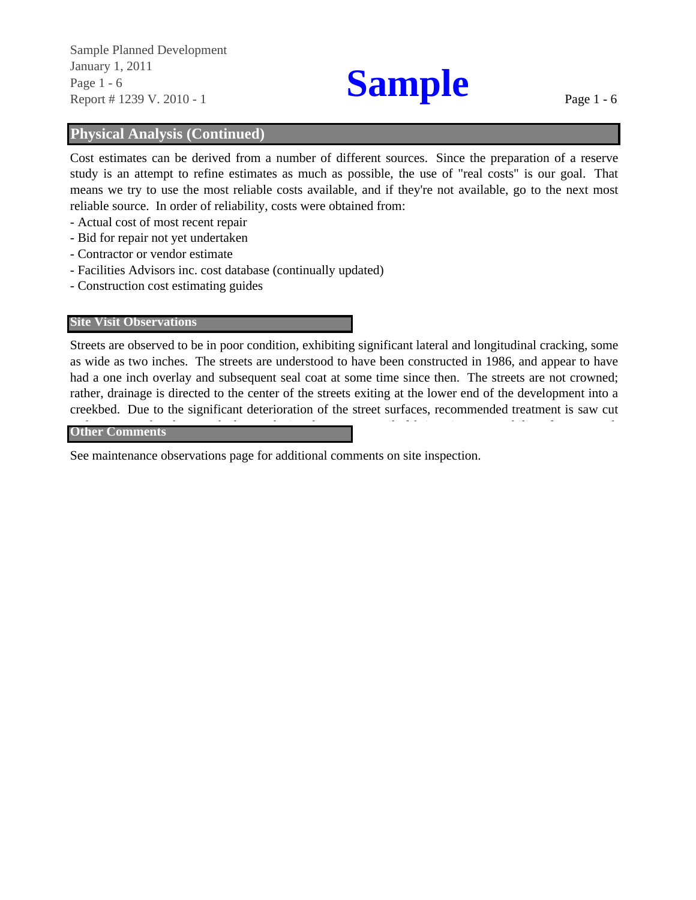Page 1 - 6<br>**Page 1 - 6**<br>**Report # 1239 V 2010 - 1** Report # 1239 V. 2010 - 1 Sample Planned Development January 1, 2011

## **Physical Analysis (Continued)**

Cost estimates can be derived from a number of different sources. Since the preparation of a reserve study is an attempt to refine estimates as much as possible, the use of "real costs" is our goal. That means we try to use the most reliable costs available, and if they're not available, go to the next most reliable source. In order of reliability, costs were obtained from:

- Actual cost of most recent repair
- Bid for repair not yet undertaken
- Contractor or vendor estimate
- Facilities Advisors inc. cost database (continually updated)
- Construction cost estimating guides

### **Site Visit Observations**

Streets are observed to be in poor condition, exhibiting significant lateral and longitudinal cracking, some as wide as two inches. The streets are understood to have been constructed in 1986, and appear to have had a one inch overlay and subsequent seal coat at some time since then. The streets are not crowned; rather, drainage is directed to the center of the streets exiting at the lower end of the development into a creekbed. Due to the significant deterioration of the street surfaces, recommended treatment is saw cut

### $d$  d is defined as a definition of  $\alpha$  is defined as  $\alpha$  in  $\alpha$  in  $\alpha$  is defined as  $\alpha$ **Other Comments**

See maintenance observations page for additional comments on site inspection.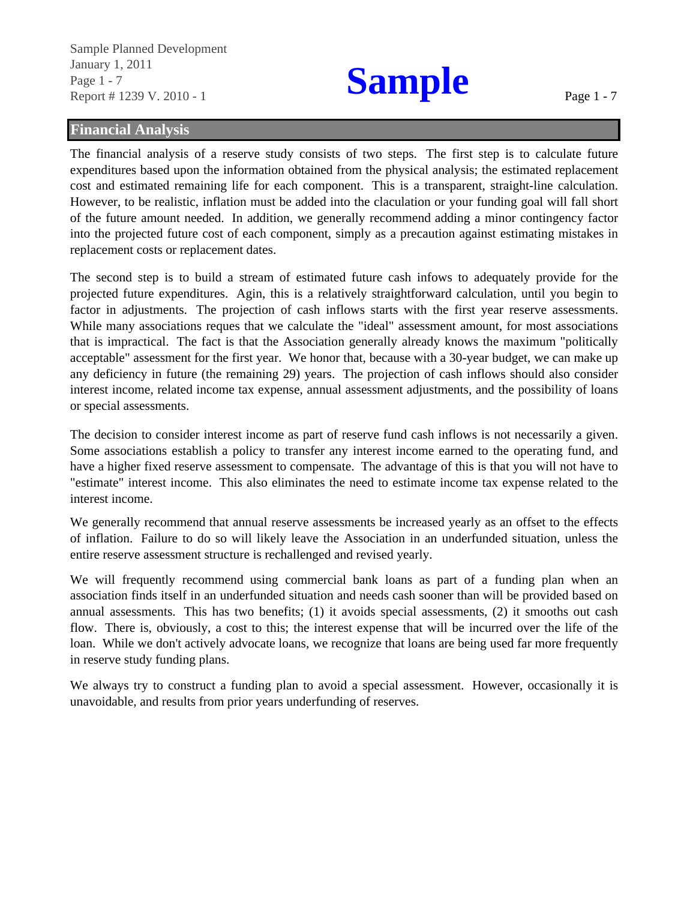Page 1 - 7<br>**Page 1 - 7**<br>**Sample** Report # 1239 V. 2010 - 1 January 1, 2011 Sample Planned Development

Page 1 - 7

### **Financial Analysis**

The financial analysis of a reserve study consists of two steps. The first step is to calculate future expenditures based upon the information obtained from the physical analysis; the estimated replacement cost and estimated remaining life for each component. This is a transparent, straight-line calculation. However, to be realistic, inflation must be added into the claculation or your funding goal will fall short of the future amount needed. In addition, we generally recommend adding a minor contingency factor into the projected future cost of each component, simply as a precaution against estimating mistakes in replacement costs or replacement dates.

The second step is to build a stream of estimated future cash infows to adequately provide for the projected future expenditures. Agin, this is a relatively straightforward calculation, until you begin to factor in adjustments. The projection of cash inflows starts with the first year reserve assessments. While many associations reques that we calculate the "ideal" assessment amount, for most associations that is impractical. The fact is that the Association generally already knows the maximum "politically acceptable" assessment for the first year. We honor that, because with a 30-year budget, we can make up any deficiency in future (the remaining 29) years. The projection of cash inflows should also consider interest income, related income tax expense, annual assessment adjustments, and the possibility of loans or special assessments.

The decision to consider interest income as part of reserve fund cash inflows is not necessarily a given. Some associations establish a policy to transfer any interest income earned to the operating fund, and have a higher fixed reserve assessment to compensate. The advantage of this is that you will not have to "estimate" interest income. This also eliminates the need to estimate income tax expense related to the interest income.

We generally recommend that annual reserve assessments be increased yearly as an offset to the effects of inflation. Failure to do so will likely leave the Association in an underfunded situation, unless the entire reserve assessment structure is rechallenged and revised yearly.

We will frequently recommend using commercial bank loans as part of a funding plan when an association finds itself in an underfunded situation and needs cash sooner than will be provided based on annual assessments. This has two benefits; (1) it avoids special assessments, (2) it smooths out cash flow. There is, obviously, a cost to this; the interest expense that will be incurred over the life of the loan. While we don't actively advocate loans, we recognize that loans are being used far more frequently in reserve study funding plans.

We always try to construct a funding plan to avoid a special assessment. However, occasionally it is unavoidable, and results from prior years underfunding of reserves.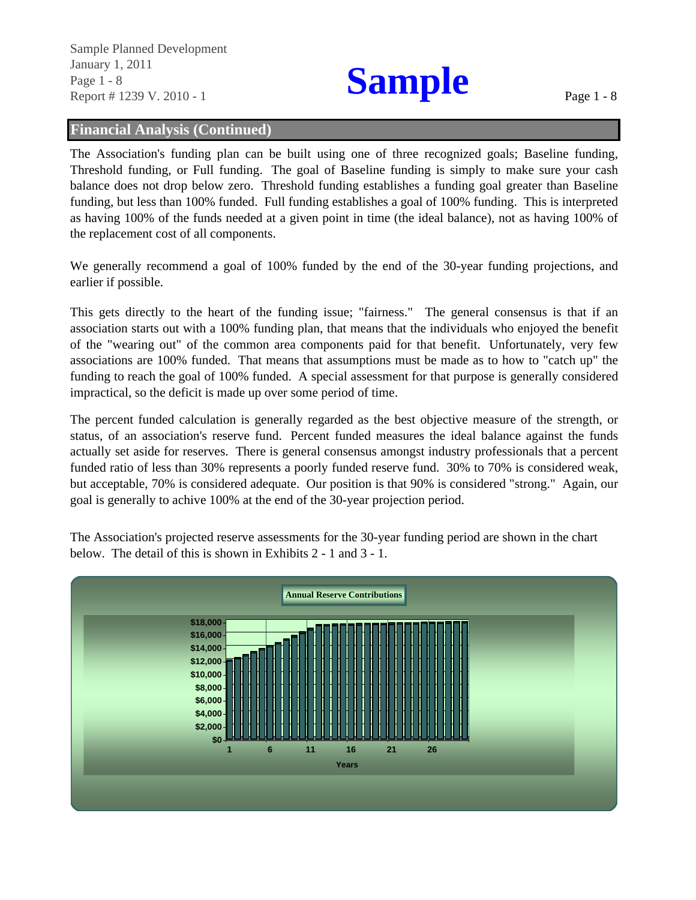January 1, 2011<br>Page 1 - 8<br>Report # 1239 V 2010 - 1 Report # 1239 V. 2010 - 1 Sample Planned Development

### **Financial Analysis (Continued)**

The Association's funding plan can be built using one of three recognized goals; Baseline funding, Threshold funding, or Full funding. The goal of Baseline funding is simply to make sure your cash balance does not drop below zero. Threshold funding establishes a funding goal greater than Baseline funding, but less than 100% funded. Full funding establishes a goal of 100% funding. This is interpreted as having 100% of the funds needed at a given point in time (the ideal balance), not as having 100% of the replacement cost of all components.

We generally recommend a goal of 100% funded by the end of the 30-year funding projections, and earlier if possible.

This gets directly to the heart of the funding issue; "fairness." The general consensus is that if an association starts out with a 100% funding plan, that means that the individuals who enjoyed the benefit of the "wearing out" of the common area components paid for that benefit. Unfortunately, very few associations are 100% funded. That means that assumptions must be made as to how to "catch up" the funding to reach the goal of 100% funded. A special assessment for that purpose is generally considered impractical, so the deficit is made up over some period of time.

The percent funded calculation is generally regarded as the best objective measure of the strength, or status, of an association's reserve fund. Percent funded measures the ideal balance against the funds actually set aside for reserves. There is general consensus amongst industry professionals that a percent funded ratio of less than 30% represents a poorly funded reserve fund. 30% to 70% is considered weak, but acceptable, 70% is considered adequate. Our position is that 90% is considered "strong." Again, our goal is generally to achive 100% at the end of the 30-year projection period.

**\$8,000 \$10,000 \$12,000 \$14,000 \$16,000 \$18,000 Annual Reserve Contributions**

The Association's projected reserve assessments for the 30-year funding period are shown in the chart below. The detail of this is shown in Exhibits 2 - 1 and 3 - 1.

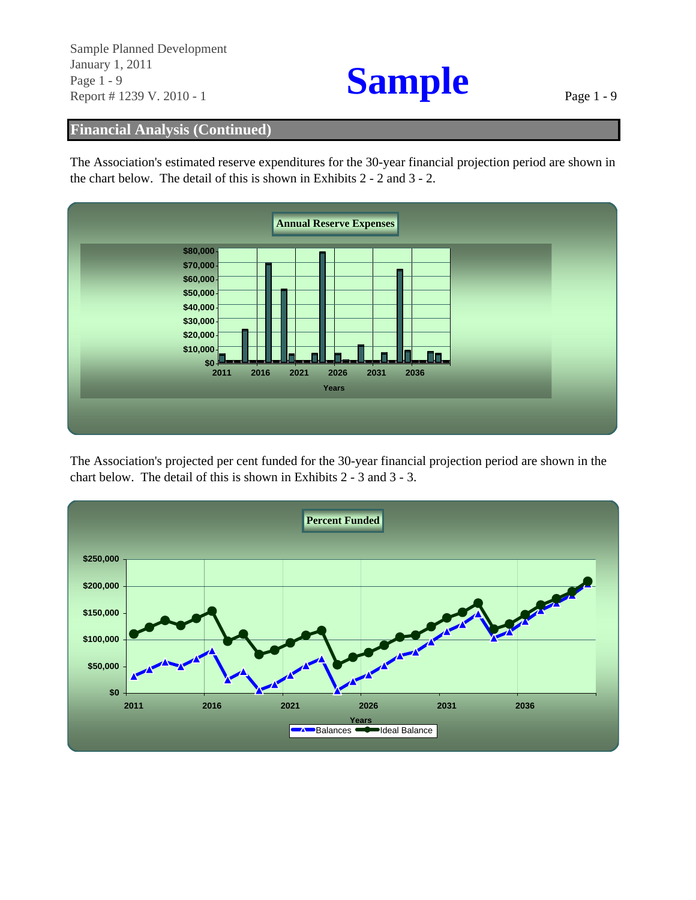Report # 1239 V. 2010 - 1  $\bullet$  Page 1 - 9 Sample Planned Development January 1, 2011<br>
Page 1 - 9<br>
Report # 1239 V. 2010 - 1

## **Financial Analysis (Continued)**

The Association's estimated reserve expenditures for the 30-year financial projection period are shown in the chart below. The detail of this is shown in Exhibits 2 - 2 and 3 - 2.



The Association's projected per cent funded for the 30-year financial projection period are shown in the chart below. The detail of this is shown in Exhibits 2 - 3 and 3 - 3.

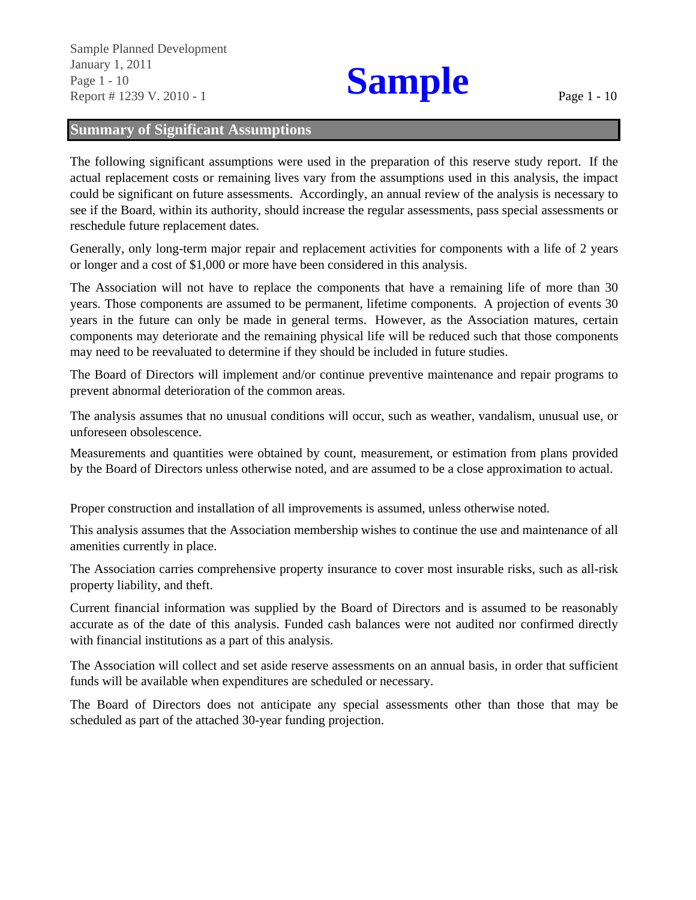Sample Planned Development Page 1 - 10<br>**Page 1 - 10**<br>**Report # 1239 V 2010 - 1** Report # 1239 V. 2010 - 1 January 1, 2011

## **Summary of Significant Assumptions**

The following significant assumptions were used in the preparation of this reserve study report. If the actual replacement costs or remaining lives vary from the assumptions used in this analysis, the impact could be significant on future assessments. Accordingly, an annual review of the analysis is necessary to see if the Board, within its authority, should increase the regular assessments, pass special assessments or reschedule future replacement dates.

Generally, only long-term major repair and replacement activities for components with a life of 2 years or longer and a cost of \$1,000 or more have been considered in this analysis.

The Association will not have to replace the components that have a remaining life of more than 30 years. Those components are assumed to be permanent, lifetime components. A projection of events 30 years in the future can only be made in general terms. However, as the Association matures, certain components may deteriorate and the remaining physical life will be reduced such that those components may need to be reevaluated to determine if they should be included in future studies.

The Board of Directors will implement and/or continue preventive maintenance and repair programs to prevent abnormal deterioration of the common areas.

The analysis assumes that no unusual conditions will occur, such as weather, vandalism, unusual use, or unforeseen obsolescence.

Measurements and quantities were obtained by count, measurement, or estimation from plans provided by the Board of Directors unless otherwise noted, and are assumed to be a close approximation to actual.

Proper construction and installation of all improvements is assumed, unless otherwise noted.

This analysis assumes that the Association membership wishes to continue the use and maintenance of all amenities currently in place.

The Association carries comprehensive property insurance to cover most insurable risks, such as all-risk property liability, and theft.

Current financial information was supplied by the Board of Directors and is assumed to be reasonably accurate as of the date of this analysis. Funded cash balances were not audited nor confirmed directly with financial institutions as a part of this analysis.

The Association will collect and set aside reserve assessments on an annual basis, in order that sufficient funds will be available when expenditures are scheduled or necessary.

The Board of Directors does not anticipate any special assessments other than those that may be scheduled as part of the attached 30-year funding projection.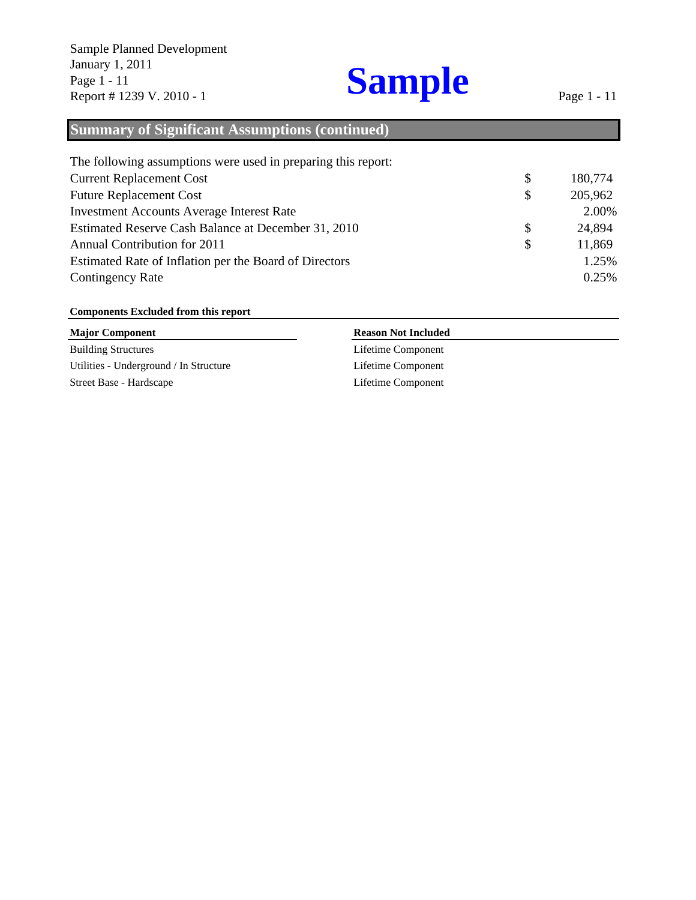### \$ 180,774 \$ 205,962 2.00% \$ 24,894 \$ 11,869 1.25% 0.25% The following assumptions were used in preparing this report: Current Replacement Cost Future Replacement Cost Annual Contribution for 2011 Estimated Rate of Inflation per the Board of Directors Contingency Rate Estimated Reserve Cash Balance at December 31, 2010 **Summary of Significant Assumptions (continued)** Investment Accounts Average Interest Rate

### **Components Excluded from this report**

| <b>Major Component</b>                 | <b>Reason Not Included</b> |  |
|----------------------------------------|----------------------------|--|
| <b>Building Structures</b>             | Lifetime Component         |  |
| Utilities - Underground / In Structure | Lifetime Component         |  |
| Street Base - Hardscape                | Lifetime Component         |  |
|                                        |                            |  |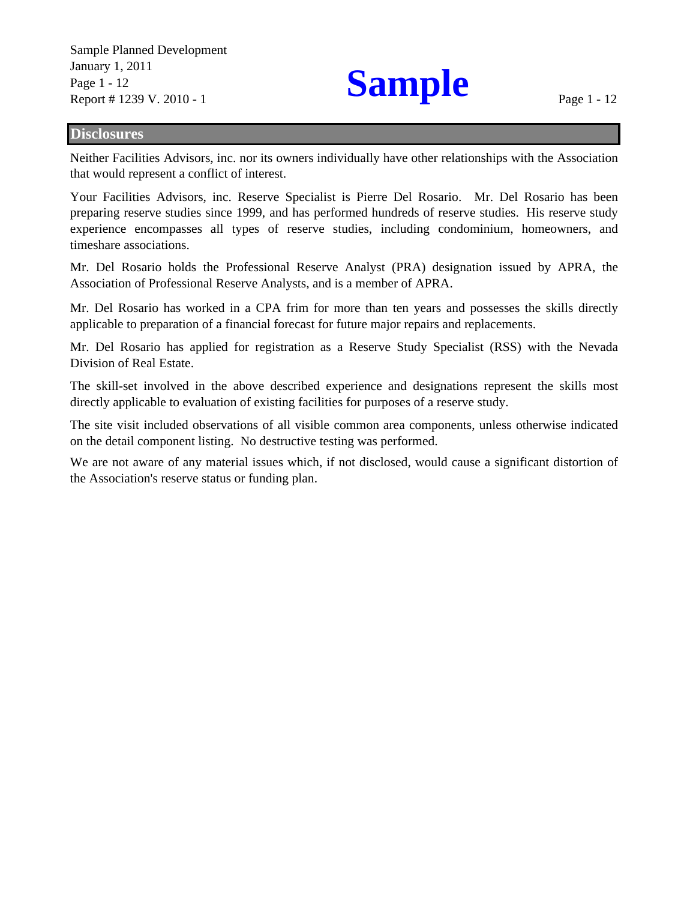Sample Planned Development January 1, 2011<br>Page 1 - 12<br>Report # 1239 V 2010 - 1 Page 1 - 12 Report # 1239 V. 2010 - 1

### **Disclosures**

Neither Facilities Advisors, inc. nor its owners individually have other relationships with the Association that would represent a conflict of interest.

Your Facilities Advisors, inc. Reserve Specialist is Pierre Del Rosario. Mr. Del Rosario has been preparing reserve studies since 1999, and has performed hundreds of reserve studies. His reserve study experience encompasses all types of reserve studies, including condominium, homeowners, and timeshare associations.

Mr. Del Rosario holds the Professional Reserve Analyst (PRA) designation issued by APRA, the Association of Professional Reserve Analysts, and is a member of APRA.

Mr. Del Rosario has worked in a CPA frim for more than ten years and possesses the skills directly applicable to preparation of a financial forecast for future major repairs and replacements.

Mr. Del Rosario has applied for registration as a Reserve Study Specialist (RSS) with the Nevada Division of Real Estate.

The skill-set involved in the above described experience and designations represent the skills most directly applicable to evaluation of existing facilities for purposes of a reserve study.

The site visit included observations of all visible common area components, unless otherwise indicated on the detail component listing. No destructive testing was performed.

We are not aware of any material issues which, if not disclosed, would cause a significant distortion of the Association's reserve status or funding plan.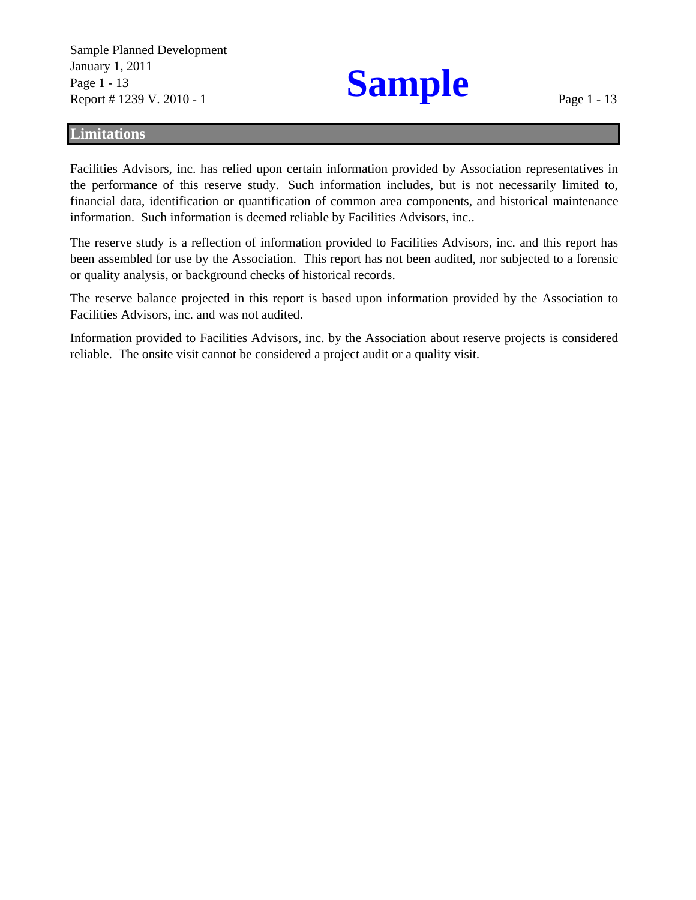Sample Planned Development January 1, 2011<br>Page 1 - 13<br>Penort # 1239 V 2010 - 1 Report # 1239 V. 2010 - 1

### **Limitations**

Facilities Advisors, inc. has relied upon certain information provided by Association representatives in the performance of this reserve study. Such information includes, but is not necessarily limited to, financial data, identification or quantification of common area components, and historical maintenance information. Such information is deemed reliable by Facilities Advisors, inc..

The reserve study is a reflection of information provided to Facilities Advisors, inc. and this report has been assembled for use by the Association. This report has not been audited, nor subjected to a forensic or quality analysis, or background checks of historical records.

The reserve balance projected in this report is based upon information provided by the Association to Facilities Advisors, inc. and was not audited.

Information provided to Facilities Advisors, inc. by the Association about reserve projects is considered reliable. The onsite visit cannot be considered a project audit or a quality visit.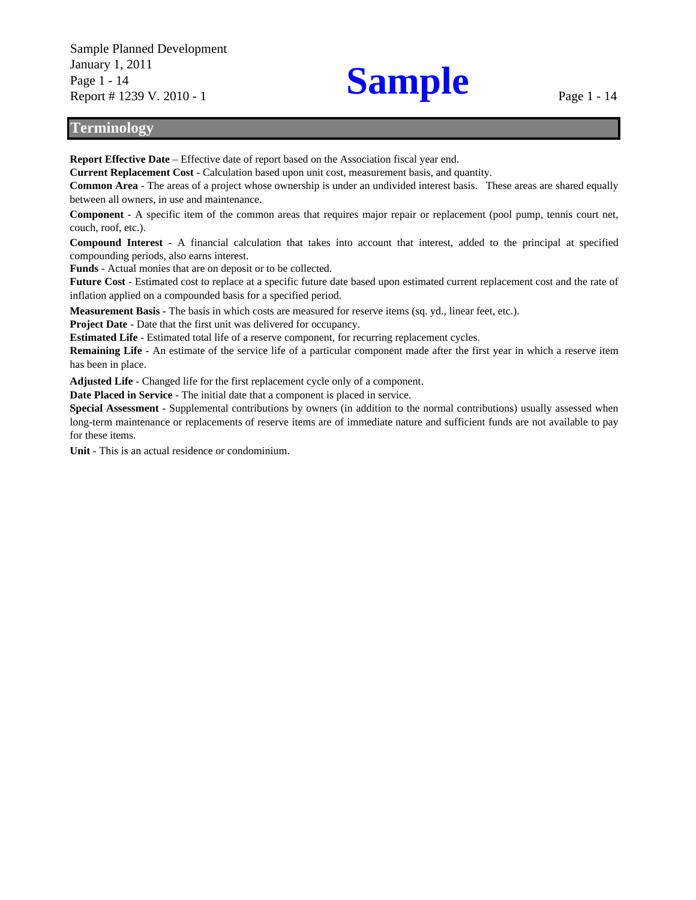Sample Planned Development January 1, 2011 Page 1 - 14 Report # 1239 V. 2010 - 1

# **Sample**

### **Terminology**

**Report Effective Date** – Effective date of report based on the Association fiscal year end.

**Current Replacement Cost** - Calculation based upon unit cost, measurement basis, and quantity.

**Common Area** - The areas of a project whose ownership is under an undivided interest basis. These areas are shared equally between all owners, in use and maintenance.

**Component** - A specific item of the common areas that requires major repair or replacement (pool pump, tennis court net, couch, roof, etc.).

**Compound Interest** - A financial calculation that takes into account that interest, added to the principal at specified compounding periods, also earns interest.

**Funds** - Actual monies that are on deposit or to be collected.

**Future Cost** - Estimated cost to replace at a specific future date based upon estimated current replacement cost and the rate of inflation applied on a compounded basis for a specified period.

**Measurement Basis** - The basis in which costs are measured for reserve items (sq. yd., linear feet, etc.).

**Project Date** - Date that the first unit was delivered for occupancy.

**Estimated Life** - Estimated total life of a reserve component, for recurring replacement cycles.

**Remaining Life** - An estimate of the service life of a particular component made after the first year in which a reserve item has been in place.

**Adjusted Life** - Changed life for the first replacement cycle only of a component.

**Date Placed in Service** - The initial date that a component is placed in service.

**Special Assessment** - Supplemental contributions by owners (in addition to the normal contributions) usually assessed when long-term maintenance or replacements of reserve items are of immediate nature and sufficient funds are not available to pay for these items.

**Unit** - This is an actual residence or condominium.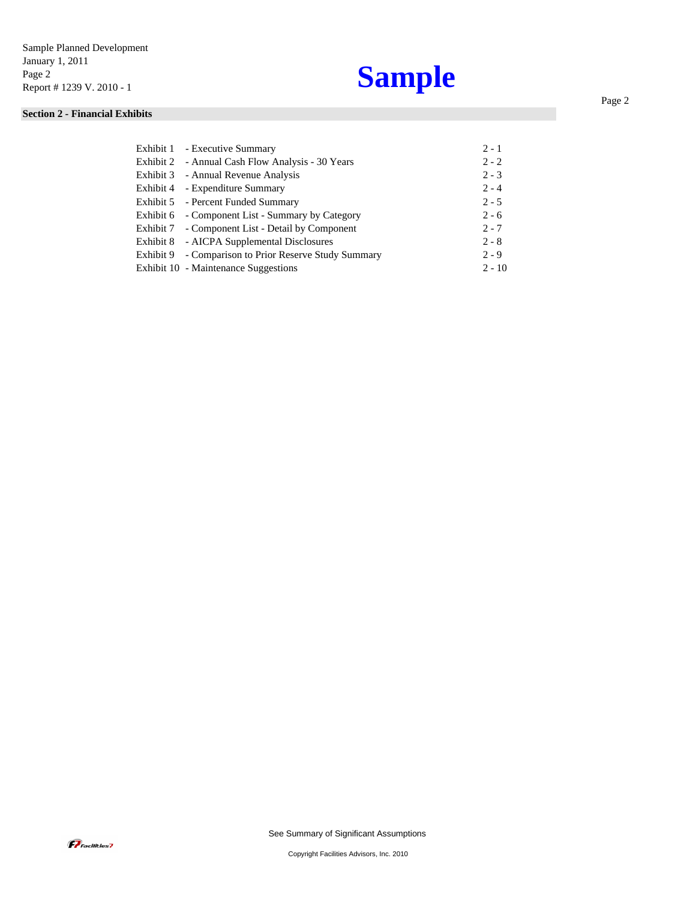## **Sample**

### **Section 2 - Financial Exhibits**

| Exhibit 1 - Executive Summary                         | $2 - 1$  |
|-------------------------------------------------------|----------|
| Exhibit 2 - Annual Cash Flow Analysis - 30 Years      | $2 - 2$  |
| Exhibit 3 - Annual Revenue Analysis                   | $2 - 3$  |
| Exhibit 4 - Expenditure Summary                       | $2 - 4$  |
| Exhibit 5 - Percent Funded Summary                    | $2 - 5$  |
| Exhibit 6 - Component List - Summary by Category      | $2 - 6$  |
| Exhibit 7 - Component List - Detail by Component      | $2 - 7$  |
| Exhibit 8 - AICPA Supplemental Disclosures            | $2 - 8$  |
| Exhibit 9 - Comparison to Prior Reserve Study Summary | $2 - 9$  |
| Exhibit 10 - Maintenance Suggestions                  | $2 - 10$ |

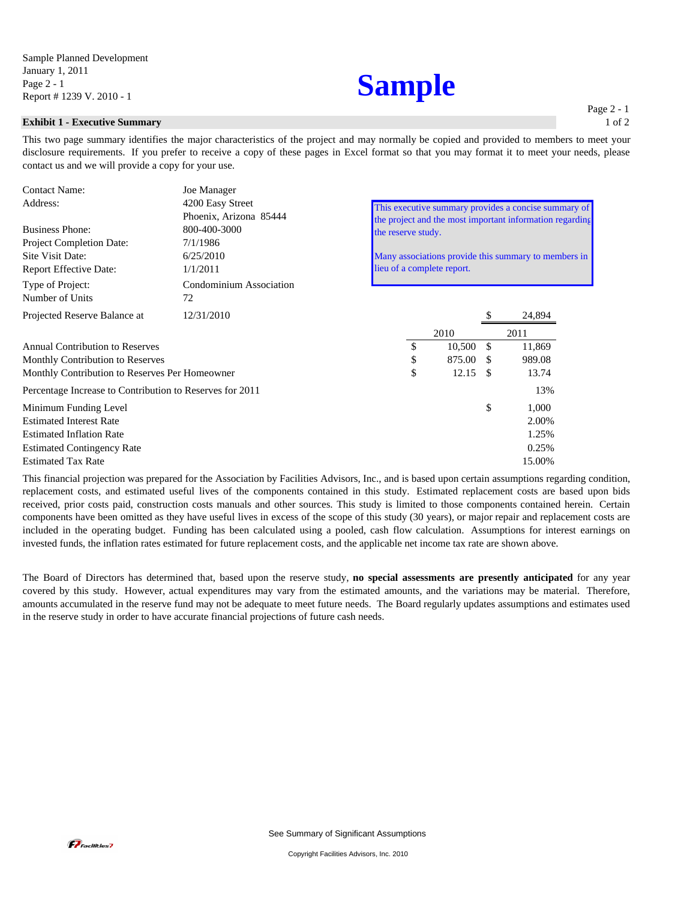### **Exhibit 1 - Executive Summary**

This two page summary identifies the major characteristics of the project and may normally be copied and provided to members to meet your disclosure requirements. If you prefer to receive a copy of these pages in Excel format so that you may format it to meet your needs, please contact us and we will provide a copy for your use.

| <b>Contact Name:</b>                                     | Joe Manager                                |                                                                                                                  |        |    |        |  |  |
|----------------------------------------------------------|--------------------------------------------|------------------------------------------------------------------------------------------------------------------|--------|----|--------|--|--|
| Address:                                                 | 4200 Easy Street<br>Phoenix, Arizona 85444 | This executive summary provides a concise summary of<br>the project and the most important information regarding |        |    |        |  |  |
| <b>Business Phone:</b>                                   | 800-400-3000                               | the reserve study.                                                                                               |        |    |        |  |  |
| Project Completion Date:                                 | 7/1/1986                                   |                                                                                                                  |        |    |        |  |  |
| Site Visit Date:                                         | 6/25/2010                                  | Many associations provide this summary to members in<br>lieu of a complete report.                               |        |    |        |  |  |
| <b>Report Effective Date:</b>                            | 1/1/2011                                   |                                                                                                                  |        |    |        |  |  |
| Type of Project:<br>Number of Units                      | Condominium Association<br>72              |                                                                                                                  |        |    |        |  |  |
| Projected Reserve Balance at                             | 12/31/2010                                 |                                                                                                                  |        |    | 24,894 |  |  |
|                                                          |                                            |                                                                                                                  | 2010   |    | 2011   |  |  |
| <b>Annual Contribution to Reserves</b>                   |                                            | \$                                                                                                               | 10,500 | \$ | 11,869 |  |  |
| Monthly Contribution to Reserves                         |                                            | \$                                                                                                               | 875.00 | £. | 989.08 |  |  |
| Monthly Contribution to Reserves Per Homeowner           |                                            | \$                                                                                                               | 12.15  | \$ | 13.74  |  |  |
| Percentage Increase to Contribution to Reserves for 2011 |                                            |                                                                                                                  |        |    | 13%    |  |  |
| Minimum Funding Level                                    |                                            |                                                                                                                  |        | \$ | 1,000  |  |  |
| <b>Estimated Interest Rate</b>                           |                                            |                                                                                                                  |        |    | 2.00%  |  |  |
| <b>Estimated Inflation Rate</b>                          |                                            |                                                                                                                  |        |    | 1.25%  |  |  |
| <b>Estimated Contingency Rate</b>                        |                                            |                                                                                                                  |        |    | 0.25%  |  |  |
| <b>Estimated Tax Rate</b>                                |                                            |                                                                                                                  |        |    | 15.00% |  |  |
|                                                          |                                            |                                                                                                                  |        |    |        |  |  |

This financial projection was prepared for the Association by Facilities Advisors, Inc., and is based upon certain assumptions regarding condition, replacement costs, and estimated useful lives of the components contained in this study. Estimated replacement costs are based upon bids received, prior costs paid, construction costs manuals and other sources. This study is limited to those components contained herein. Certain components have been omitted as they have useful lives in excess of the scope of this study (30 years), or major repair and replacement costs are included in the operating budget. Funding has been calculated using a pooled, cash flow calculation. Assumptions for interest earnings on invested funds, the inflation rates estimated for future replacement costs, and the applicable net income tax rate are shown above.

The Board of Directors has determined that, based upon the reserve study, **no special assessments are presently anticipated** for any year covered by this study. However, actual expenditures may vary from the estimated amounts, and the variations may be material. Therefore, amounts accumulated in the reserve fund may not be adequate to meet future needs. The Board regularly updates assumptions and estimates used in the reserve study in order to have accurate financial projections of future cash needs.

Page 2 - 1 1 of 2

## **Sample**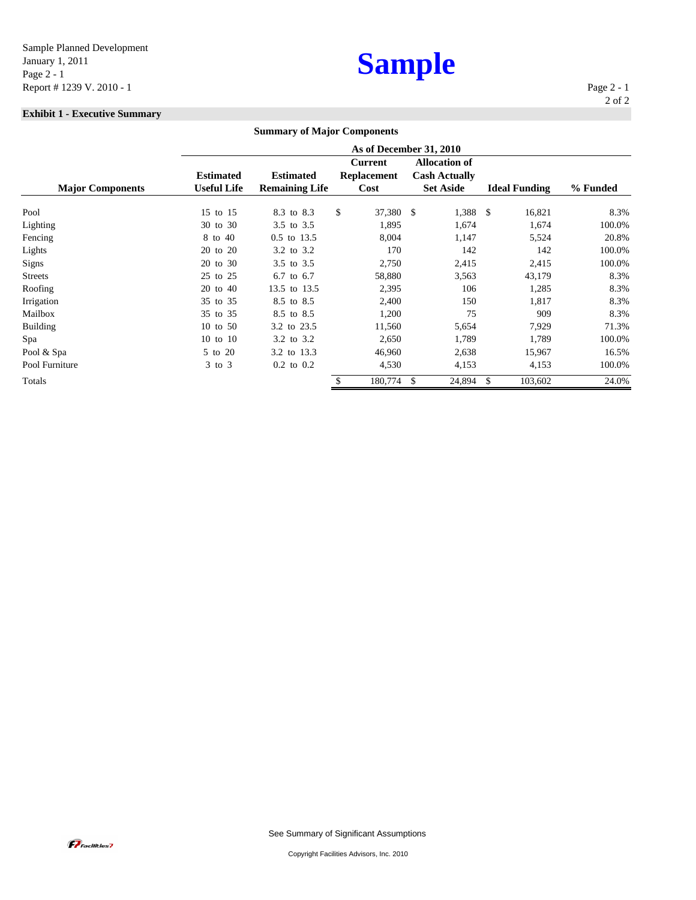## **Sample**

### **Exhibit 1 - Executive Summary**

|                         |                         | <b>Summary of Major Components</b> |    |                    |                      |                          |          |
|-------------------------|-------------------------|------------------------------------|----|--------------------|----------------------|--------------------------|----------|
|                         | As of December 31, 2010 |                                    |    |                    |                      |                          |          |
|                         |                         |                                    |    | <b>Current</b>     | <b>Allocation of</b> |                          |          |
|                         | <b>Estimated</b>        | <b>Estimated</b>                   |    | <b>Replacement</b> | <b>Cash Actually</b> |                          |          |
| <b>Major Components</b> | <b>Useful Life</b>      | <b>Remaining Life</b>              |    | Cost               | <b>Set Aside</b>     | <b>Ideal Funding</b>     | % Funded |
| Pool                    | 15 to 15                | 8.3 to 8.3                         | \$ | 37,380 \$          | 1,388 \$             | 16,821                   | 8.3%     |
| Lighting                | 30 to 30                | 3.5 to 3.5                         |    | 1,895              | 1,674                | 1,674                    | 100.0%   |
| Fencing                 | 8 to 40                 | 0.5 to 13.5                        |    | 8,004              | 1,147                | 5,524                    | 20.8%    |
| Lights                  | 20 to 20                | 3.2 to 3.2                         |    | 170                | 142                  | 142                      | 100.0%   |
| Signs                   | to $30$<br>20           | 3.5 to 3.5                         |    | 2,750              | 2,415                | 2,415                    | 100.0%   |
| <b>Streets</b>          | 25 to 25                | 6.7 to 6.7                         |    | 58,880             | 3,563                | 43,179                   | 8.3%     |
| Roofing                 | 20 to 40                | 13.5 to 13.5                       |    | 2,395              | 106                  | 1,285                    | 8.3%     |
| Irrigation              | 35 to 35                | 8.5 to 8.5                         |    | 2,400              | 150                  | 1,817                    | 8.3%     |
| Mailbox                 | 35 to 35                | 8.5 to 8.5                         |    | 1,200              | 75                   | 909                      | 8.3%     |
| <b>Building</b>         | 10 to 50                | 3.2 to 23.5                        |    | 11,560             | 5,654                | 7,929                    | 71.3%    |
| Spa                     | 10 to 10                | 3.2 to 3.2                         |    | 2,650              | 1,789                | 1,789                    | 100.0%   |
| Pool & Spa              | 5 to 20                 | 3.2 to 13.3                        |    | 46,960             | 2,638                | 15,967                   | 16.5%    |
| Pool Furniture          | $3$ to $3$              | $0.2$ to $0.2$                     |    | 4,530              | 4,153                | 4,153                    | 100.0%   |
| Totals                  |                         |                                    |    | 180,774            | 24,894<br>\$         | <sup>\$</sup><br>103,602 | 24.0%    |

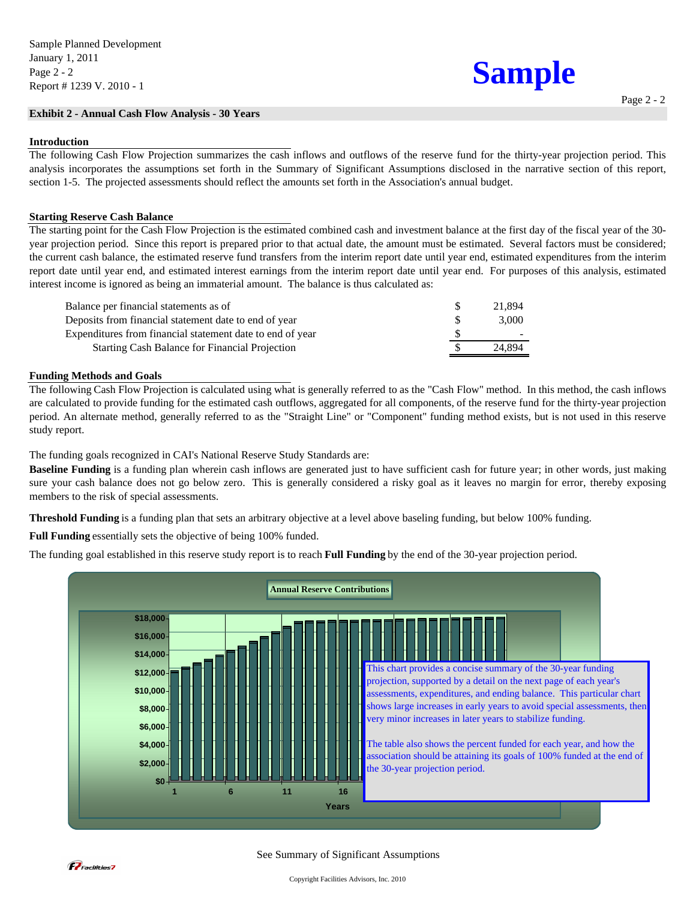### **Exhibit 2 - Annual Cash Flow Analysis - 30 Years**

### **Introduction**

The following Cash Flow Projection summarizes the cash inflows and outflows of the reserve fund for the thirty-year projection period. This analysis incorporates the assumptions set forth in the Summary of Significant Assumptions disclosed in the narrative section of this report, section 1-5. The projected assessments should reflect the amounts set forth in the Association's annual budget.

### **Starting Reserve Cash Balance**

The starting point for the Cash Flow Projection is the estimated combined cash and investment balance at the first day of the fiscal year of the 30 year projection period. Since this report is prepared prior to that actual date, the amount must be estimated. Several factors must be considered; the current cash balance, the estimated reserve fund transfers from the interim report date until year end, estimated expenditures from the interim report date until year end, and estimated interest earnings from the interim report date until year end. For purposes of this analysis, estimated interest income is ignored as being an immaterial amount. The balance is thus calculated as:

| Balance per financial statements as of                    | 21.894 |
|-----------------------------------------------------------|--------|
| Deposits from financial statement date to end of year     | 3.000  |
| Expenditures from financial statement date to end of year |        |
| <b>Starting Cash Balance for Financial Projection</b>     | 24.894 |

### **Funding Methods and Goals**

The following Cash Flow Projection is calculated using what is generally referred to as the "Cash Flow" method. In this method, the cash inflows are calculated to provide funding for the estimated cash outflows, aggregated for all components, of the reserve fund for the thirty-year projection period. An alternate method, generally referred to as the "Straight Line" or "Component" funding method exists, but is not used in this reserve study report.

The funding goals recognized in CAI's National Reserve Study Standards are:

**Baseline Funding** is a funding plan wherein cash inflows are generated just to have sufficient cash for future year; in other words, just making sure your cash balance does not go below zero. This is generally considered a risky goal as it leaves no margin for error, thereby exposing members to the risk of special assessments.

**Threshold Funding** is a funding plan that sets an arbitrary objective at a level above baseling funding, but below 100% funding.

**Full Funding** essentially sets the objective of being 100% funded.

The funding goal established in this reserve study report is to reach **Full Funding** by the end of the 30-year projection period.



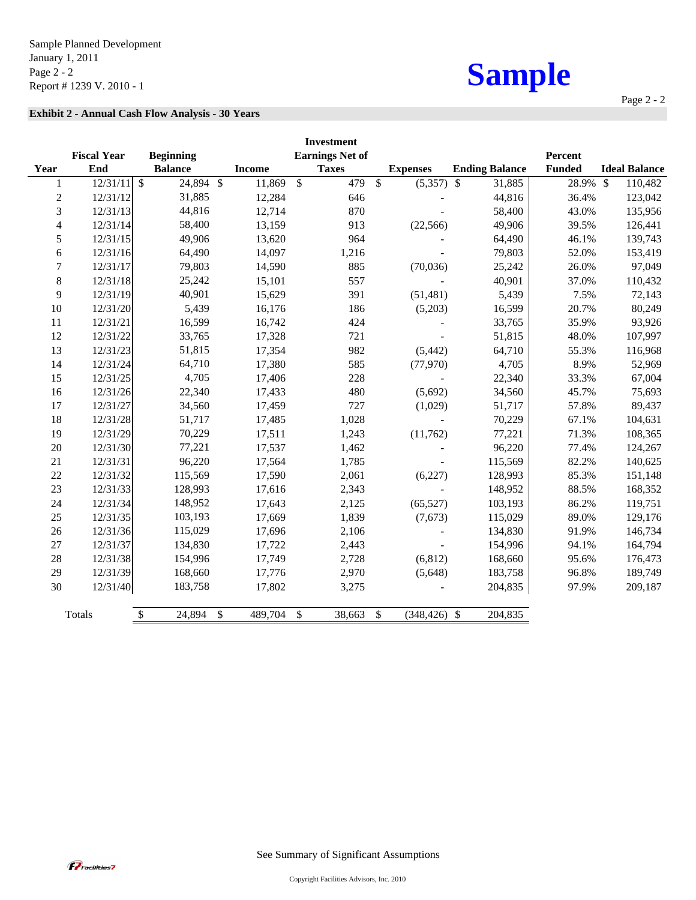## **Exhibit 2 - Annual Cash Flow Analysis - 30 Years**

|                          |                    |                                       |               | <b>Investment</b>       |               |                 |                        |               |                      |
|--------------------------|--------------------|---------------------------------------|---------------|-------------------------|---------------|-----------------|------------------------|---------------|----------------------|
|                          | <b>Fiscal Year</b> | <b>Beginning</b>                      |               | <b>Earnings Net of</b>  |               |                 |                        | Percent       |                      |
| Year                     | End                | <b>Balance</b>                        | <b>Income</b> | <b>Taxes</b>            |               | <b>Expenses</b> | <b>Ending Balance</b>  | <b>Funded</b> | <b>Ideal Balance</b> |
| 1                        | 12/31/11           | $\mathcal{S}$<br>24,894 \$            | 11,869        | 479<br>$\mathcal{S}$    | $\mathbb{S}$  | (5,357)         | 31,885<br>$\mathbb{S}$ | 28.9% \$      | 110,482              |
| $\sqrt{2}$               | 12/31/12           | 31,885                                | 12,284        | 646                     |               |                 | 44,816                 | 36.4%         | 123,042              |
| 3                        | 12/31/13           | 44,816                                | 12,714        | 870                     |               |                 | 58,400                 | 43.0%         | 135,956              |
| $\overline{\mathcal{L}}$ | 12/31/14           | 58,400                                | 13,159        | 913                     |               | (22, 566)       | 49,906                 | 39.5%         | 126,441              |
| 5                        | 12/31/15           | 49,906                                | 13,620        | 964                     |               |                 | 64,490                 | 46.1%         | 139,743              |
| 6                        | 12/31/16           | 64,490                                | 14,097        | 1,216                   |               |                 | 79,803                 | 52.0%         | 153,419              |
| 7                        | 12/31/17           | 79,803                                | 14,590        | 885                     |               | (70,036)        | 25,242                 | 26.0%         | 97,049               |
| $8\,$                    | 12/31/18           | 25,242                                | 15,101        | 557                     |               |                 | 40,901                 | 37.0%         | 110,432              |
| 9                        | 12/31/19           | 40,901                                | 15,629        | 391                     |               | (51, 481)       | 5,439                  | 7.5%          | 72,143               |
| 10                       | 12/31/20           | 5,439                                 | 16,176        | 186                     |               | (5,203)         | 16,599                 | 20.7%         | 80,249               |
| 11                       | 12/31/21           | 16,599                                | 16,742        | 424                     |               |                 | 33,765                 | 35.9%         | 93,926               |
| 12                       | 12/31/22           | 33,765                                | 17,328        | 721                     |               |                 | 51,815                 | 48.0%         | 107,997              |
| 13                       | 12/31/23           | 51,815                                | 17,354        | 982                     |               | (5, 442)        | 64,710                 | 55.3%         | 116,968              |
| 14                       | 12/31/24           | 64,710                                | 17,380        | 585                     |               | (77, 970)       | 4,705                  | 8.9%          | 52,969               |
| 15                       | 12/31/25           | 4,705                                 | 17,406        | 228                     |               |                 | 22,340                 | 33.3%         | 67,004               |
| 16                       | 12/31/26           | 22,340                                | 17,433        | 480                     |               | (5,692)         | 34,560                 | 45.7%         | 75,693               |
| 17                       | 12/31/27           | 34,560                                | 17,459        | 727                     |               | (1,029)         | 51,717                 | 57.8%         | 89,437               |
| 18                       | 12/31/28           | 51,717                                | 17,485        | 1,028                   |               | $\blacksquare$  | 70,229                 | 67.1%         | 104,631              |
| 19                       | 12/31/29           | 70,229                                | 17,511        | 1,243                   |               | (11,762)        | 77,221                 | 71.3%         | 108,365              |
| 20                       | 12/31/30           | 77,221                                | 17,537        | 1,462                   |               |                 | 96,220                 | 77.4%         | 124,267              |
| 21                       | 12/31/31           | 96,220                                | 17,564        | 1,785                   |               |                 | 115,569                | 82.2%         | 140,625              |
| 22                       | 12/31/32           | 115,569                               | 17,590        | 2,061                   |               | (6,227)         | 128,993                | 85.3%         | 151,148              |
| 23                       | 12/31/33           | 128,993                               | 17,616        | 2,343                   |               |                 | 148,952                | 88.5%         | 168,352              |
| 24                       | 12/31/34           | 148,952                               | 17,643        | 2,125                   |               | (65, 527)       | 103,193                | 86.2%         | 119,751              |
| 25                       | 12/31/35           | 103,193                               | 17,669        | 1,839                   |               | (7,673)         | 115,029                | 89.0%         | 129,176              |
| 26                       | 12/31/36           | 115,029                               | 17,696        | 2,106                   |               |                 | 134,830                | 91.9%         | 146,734              |
| 27                       | 12/31/37           | 134,830                               | 17,722        | 2,443                   |               |                 | 154,996                | 94.1%         | 164,794              |
| 28                       | 12/31/38           | 154,996                               | 17,749        | 2,728                   |               | (6, 812)        | 168,660                | 95.6%         | 176,473              |
| 29                       | 12/31/39           | 168,660                               | 17,776        | 2,970                   |               | (5,648)         | 183,758                | 96.8%         | 189,749              |
| 30                       | 12/31/40           | 183,758                               | 17,802        | 3,275                   |               |                 | 204,835                | 97.9%         | 209,187              |
|                          | Totals             | $\mathcal{S}$<br>24,894<br>$\sqrt{3}$ | 489,704       | $\mathcal{S}$<br>38,663 | $\mathcal{S}$ | $(348, 426)$ \$ | 204,835                |               |                      |

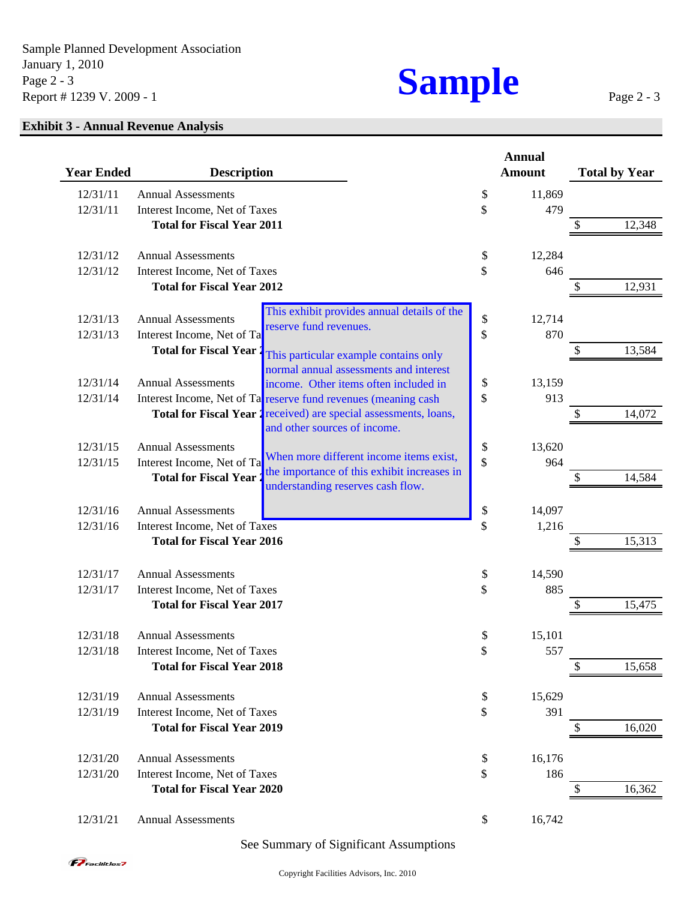

## **Exhibit 3 - Annual Revenue Analysis**

| <b>Year Ended</b> | <b>Description</b>                |                                                                                                                                            | <b>Annual</b><br><b>Amount</b> |    | <b>Total by Year</b> |
|-------------------|-----------------------------------|--------------------------------------------------------------------------------------------------------------------------------------------|--------------------------------|----|----------------------|
| 12/31/11          | <b>Annual Assessments</b>         |                                                                                                                                            | \$<br>11,869                   |    |                      |
| 12/31/11          | Interest Income, Net of Taxes     |                                                                                                                                            | \$<br>479                      |    |                      |
|                   | <b>Total for Fiscal Year 2011</b> |                                                                                                                                            |                                |    | 12,348               |
| 12/31/12          | <b>Annual Assessments</b>         |                                                                                                                                            | \$<br>12,284                   |    |                      |
| 12/31/12          | Interest Income, Net of Taxes     |                                                                                                                                            | \$<br>646                      |    |                      |
|                   | <b>Total for Fiscal Year 2012</b> |                                                                                                                                            |                                |    | 12,931               |
| 12/31/13          | <b>Annual Assessments</b>         | This exhibit provides annual details of the                                                                                                | \$<br>12,714                   |    |                      |
| 12/31/13          | Interest Income, Net of Ta        | reserve fund revenues.                                                                                                                     | \$<br>870                      |    |                      |
|                   | <b>Total for Fiscal Year</b>      | This particular example contains only                                                                                                      |                                | \$ | 13,584               |
|                   |                                   | normal annual assessments and interest                                                                                                     |                                |    |                      |
| 12/31/14          | <b>Annual Assessments</b>         | income. Other items often included in                                                                                                      | \$<br>13,159                   |    |                      |
| 12/31/14          |                                   | Interest Income, Net of Ta reserve fund revenues (meaning cash<br><b>Total for Fiscal Year 1</b> received) are special assessments, loans, | \$<br>913                      | S  | 14,072               |
|                   |                                   | and other sources of income.                                                                                                               |                                |    |                      |
| 12/31/15          | <b>Annual Assessments</b>         |                                                                                                                                            | \$<br>13,620                   |    |                      |
| 12/31/15          | Interest Income, Net of Ta        | When more different income items exist,                                                                                                    | \$<br>964                      |    |                      |
|                   | <b>Total for Fiscal Year</b>      | the importance of this exhibit increases in<br>understanding reserves cash flow.                                                           |                                |    | 14,584               |
| 12/31/16          | <b>Annual Assessments</b>         |                                                                                                                                            | \$<br>14,097                   |    |                      |
| 12/31/16          | Interest Income, Net of Taxes     |                                                                                                                                            | \$<br>1,216                    |    |                      |
|                   | <b>Total for Fiscal Year 2016</b> |                                                                                                                                            |                                |    | 15,313               |
| 12/31/17          | <b>Annual Assessments</b>         |                                                                                                                                            | \$<br>14,590                   |    |                      |
| 12/31/17          | Interest Income, Net of Taxes     |                                                                                                                                            | \$<br>885                      |    |                      |
|                   | <b>Total for Fiscal Year 2017</b> |                                                                                                                                            |                                |    | 15,475               |
| 12/31/18          | <b>Annual Assessments</b>         |                                                                                                                                            | \$<br>15,101                   |    |                      |
| 12/31/18          | Interest Income, Net of Taxes     |                                                                                                                                            | \$<br>557                      |    |                      |
|                   | <b>Total for Fiscal Year 2018</b> |                                                                                                                                            |                                | \$ | 15,658               |
| 12/31/19          | <b>Annual Assessments</b>         |                                                                                                                                            | \$<br>15,629                   |    |                      |
| 12/31/19          | Interest Income, Net of Taxes     |                                                                                                                                            | \$<br>391                      |    |                      |
|                   | <b>Total for Fiscal Year 2019</b> |                                                                                                                                            |                                |    | 16,020               |
| 12/31/20          | <b>Annual Assessments</b>         |                                                                                                                                            | \$<br>16,176                   |    |                      |
| 12/31/20          | Interest Income, Net of Taxes     |                                                                                                                                            | \$<br>186                      |    |                      |
|                   | <b>Total for Fiscal Year 2020</b> |                                                                                                                                            |                                | S  | 16,362               |
| 12/31/21          | <b>Annual Assessments</b>         |                                                                                                                                            | \$<br>16,742                   |    |                      |

## See Summary of Significant Assumptions



Page 2 - 3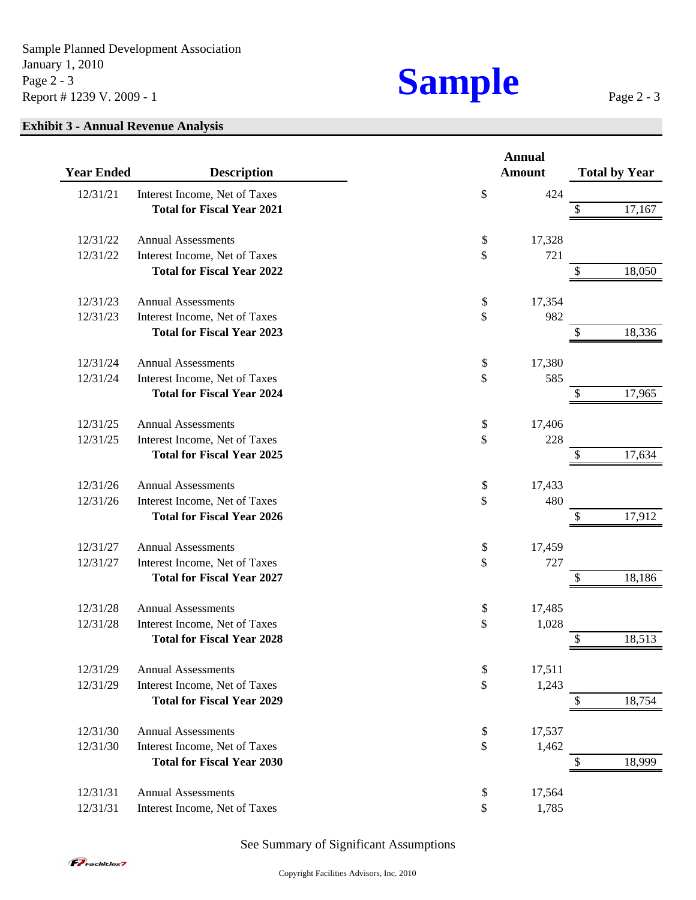## **Exhibit 3 - Annual Revenue Analysis**

|                   |                                   | <b>Annual</b> |    |                      |
|-------------------|-----------------------------------|---------------|----|----------------------|
| <b>Year Ended</b> | <b>Description</b>                | <b>Amount</b> |    | <b>Total by Year</b> |
| 12/31/21          | Interest Income, Net of Taxes     | \$<br>424     |    |                      |
|                   | <b>Total for Fiscal Year 2021</b> |               | \$ | 17,167               |
| 12/31/22          | <b>Annual Assessments</b>         | \$<br>17,328  |    |                      |
| 12/31/22          | Interest Income, Net of Taxes     | \$<br>721     |    |                      |
|                   | <b>Total for Fiscal Year 2022</b> |               | \$ | 18,050               |
| 12/31/23          | <b>Annual Assessments</b>         | \$<br>17,354  |    |                      |
| 12/31/23          | Interest Income, Net of Taxes     | \$<br>982     |    |                      |
|                   | <b>Total for Fiscal Year 2023</b> |               | \$ | 18,336               |
| 12/31/24          | <b>Annual Assessments</b>         | \$<br>17,380  |    |                      |
| 12/31/24          | Interest Income, Net of Taxes     | \$<br>585     |    |                      |
|                   | <b>Total for Fiscal Year 2024</b> |               |    | 17,965               |
| 12/31/25          | <b>Annual Assessments</b>         | \$<br>17,406  |    |                      |
| 12/31/25          | Interest Income, Net of Taxes     | \$<br>228     |    |                      |
|                   | <b>Total for Fiscal Year 2025</b> |               | \$ | 17,634               |
| 12/31/26          | <b>Annual Assessments</b>         | \$<br>17,433  |    |                      |
| 12/31/26          | Interest Income, Net of Taxes     | \$<br>480     |    |                      |
|                   | <b>Total for Fiscal Year 2026</b> |               |    | 17,912               |
| 12/31/27          | <b>Annual Assessments</b>         | \$<br>17,459  |    |                      |
| 12/31/27          | Interest Income, Net of Taxes     | \$<br>727     |    |                      |
|                   | <b>Total for Fiscal Year 2027</b> |               | S  | 18,186               |
| 12/31/28          | <b>Annual Assessments</b>         | \$<br>17,485  |    |                      |
| 12/31/28          | Interest Income, Net of Taxes     | \$<br>1,028   |    |                      |
|                   | <b>Total for Fiscal Year 2028</b> |               |    | 18,513               |
| 12/31/29          | <b>Annual Assessments</b>         | \$<br>17,511  |    |                      |
| 12/31/29          | Interest Income, Net of Taxes     | \$<br>1,243   |    |                      |
|                   | <b>Total for Fiscal Year 2029</b> |               |    | 18,754               |
| 12/31/30          | <b>Annual Assessments</b>         | \$<br>17,537  |    |                      |
| 12/31/30          | Interest Income, Net of Taxes     | \$<br>1,462   |    |                      |
|                   | <b>Total for Fiscal Year 2030</b> |               |    | 18,999               |
| 12/31/31          | <b>Annual Assessments</b>         | \$<br>17,564  |    |                      |
| 12/31/31          | Interest Income, Net of Taxes     | \$<br>1,785   |    |                      |

## See Summary of Significant Assumptions

Page 2 - 3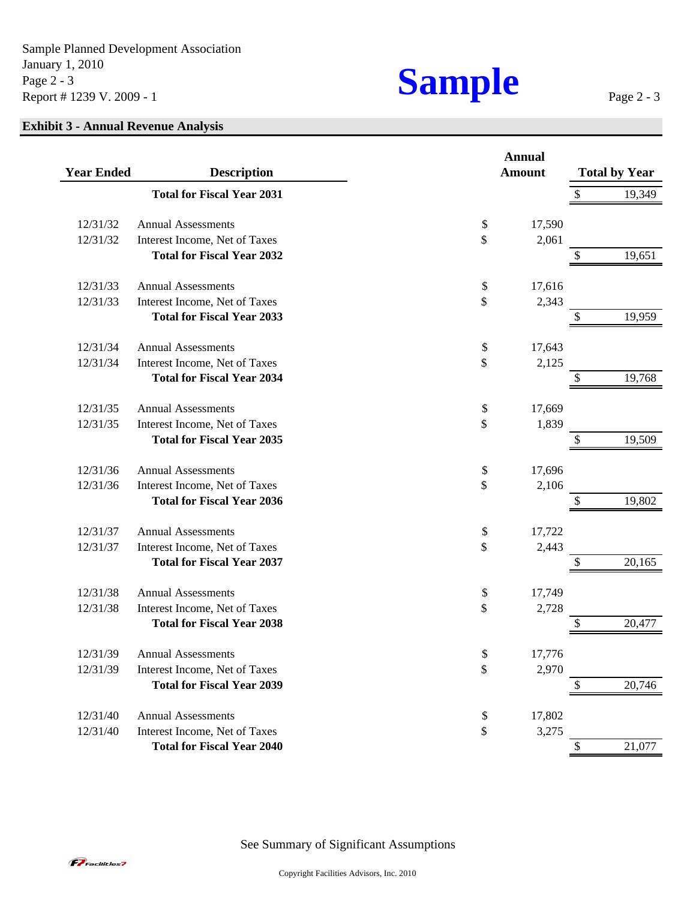Sample Planned Development Association January 1, 2010<br>
Page 2 - 3<br>
Report # 1239 V. 2009 - 1 Report # 1239 V. 2009 - 1

## **Exhibit 3 - Annual Revenue Analysis**

| <b>Year Ended</b> | <b>Description</b>                                                 | <b>Annual</b><br><b>Amount</b> |             | <b>Total by Year</b> |
|-------------------|--------------------------------------------------------------------|--------------------------------|-------------|----------------------|
|                   | <b>Total for Fiscal Year 2031</b>                                  |                                | \$          | 19,349               |
|                   |                                                                    |                                |             |                      |
| 12/31/32          | <b>Annual Assessments</b>                                          | \$<br>\$                       | 17,590      |                      |
| 12/31/32          | Interest Income, Net of Taxes<br><b>Total for Fiscal Year 2032</b> |                                | 2,061<br>\$ | 19,651               |
| 12/31/33          | <b>Annual Assessments</b>                                          | \$                             | 17,616      |                      |
| 12/31/33          | Interest Income, Net of Taxes                                      | \$                             | 2,343       |                      |
|                   | <b>Total for Fiscal Year 2033</b>                                  |                                | \$          | 19,959               |
| 12/31/34          | <b>Annual Assessments</b>                                          | \$                             | 17,643      |                      |
| 12/31/34          | Interest Income, Net of Taxes                                      | \$                             | 2,125       |                      |
|                   | <b>Total for Fiscal Year 2034</b>                                  |                                | \$          | 19,768               |
| 12/31/35          | <b>Annual Assessments</b>                                          | \$                             | 17,669      |                      |
| 12/31/35          | Interest Income, Net of Taxes                                      | \$                             | 1,839       |                      |
|                   | <b>Total for Fiscal Year 2035</b>                                  |                                | \$          | 19,509               |
| 12/31/36          | <b>Annual Assessments</b>                                          | \$                             | 17,696      |                      |
| 12/31/36          | Interest Income, Net of Taxes                                      | \$                             | 2,106       |                      |
|                   | <b>Total for Fiscal Year 2036</b>                                  |                                | \$          | 19,802               |
| 12/31/37          | <b>Annual Assessments</b>                                          | \$                             | 17,722      |                      |
| 12/31/37          | Interest Income, Net of Taxes                                      | \$                             | 2,443       |                      |
|                   | <b>Total for Fiscal Year 2037</b>                                  |                                | \$          | 20,165               |
| 12/31/38          | <b>Annual Assessments</b>                                          | \$                             | 17,749      |                      |
| 12/31/38          | Interest Income, Net of Taxes                                      | \$                             | 2,728       |                      |
|                   | <b>Total for Fiscal Year 2038</b>                                  |                                | \$          | 20,477               |
| 12/31/39          | <b>Annual Assessments</b>                                          | \$                             | 17,776      |                      |
| 12/31/39          | Interest Income, Net of Taxes                                      | \$                             | 2,970       |                      |
|                   | <b>Total for Fiscal Year 2039</b>                                  |                                | \$          | 20,746               |
| 12/31/40          | <b>Annual Assessments</b>                                          | \$                             | 17,802      |                      |
| 12/31/40          | Interest Income, Net of Taxes                                      | \$                             | 3,275       |                      |
|                   | <b>Total for Fiscal Year 2040</b>                                  |                                | \$          | 21,077               |

See Summary of Significant Assumptions



Page 2 - 3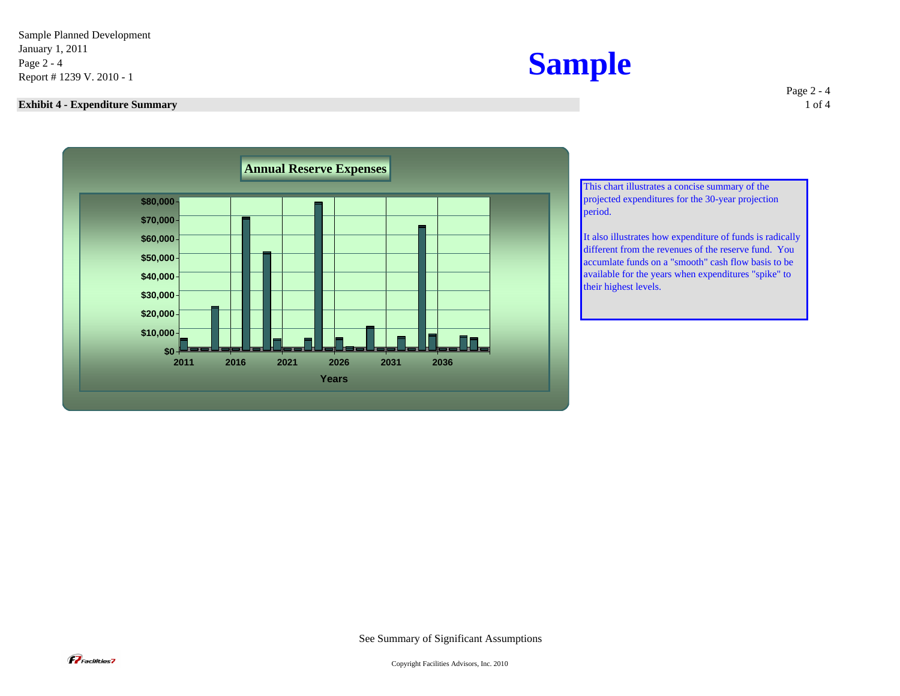Sample Planned Development January 1, 2011<br>
Page 2 - 4<br>
Report # 1239 V. 2010 - 1

### **Exhibit 4 - Expenditure Summary** 1 of 4



Page 2 - 4



This chart illustrates a concise summary of the projected expenditures for the 30-year projection period.

It also illustrates how expenditure of funds is radically different from the revenues of the reserve fund. You accumlate funds on a "smooth" cash flow basis to be available for the years when expenditures "spike" to their highest levels.

See Summary of Significant Assumptions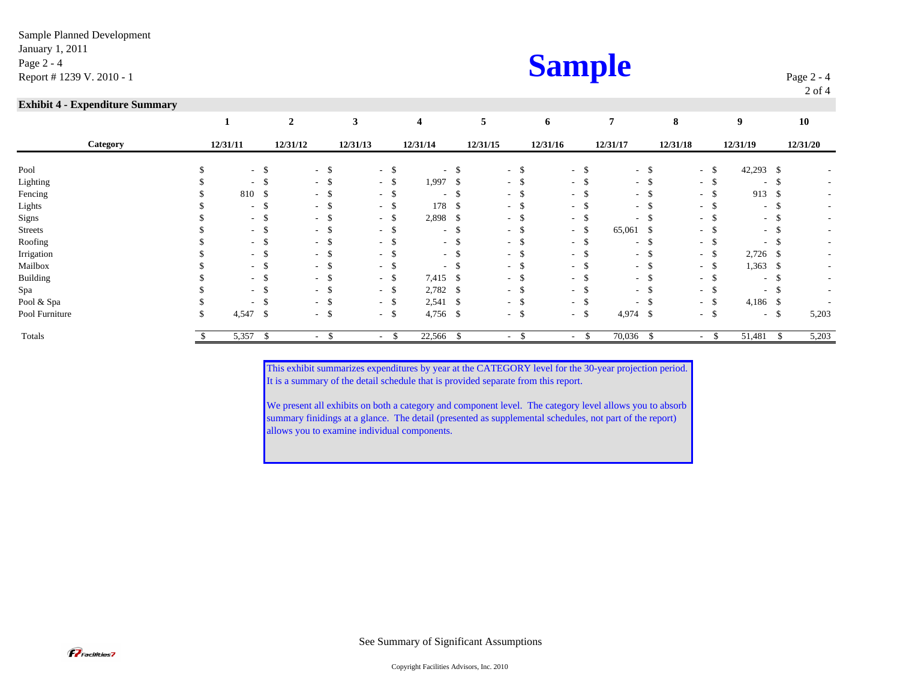| <b>Sample</b> |
|---------------|
|---------------|

Page 2 - 4 2 of 4

### **Exhibit 4 - Expenditure Summary**

|                 |          | $\mathbf{2}$ |                | 3        |        | $\overline{\mathbf{4}}$ |               | 5        |        | 6        |        |             | 8        |      | 9               |      | 10                       |
|-----------------|----------|--------------|----------------|----------|--------|-------------------------|---------------|----------|--------|----------|--------|-------------|----------|------|-----------------|------|--------------------------|
| Category        | 12/31/11 | 12/31/12     |                | 12/31/13 |        | 12/31/14                |               | 12/31/15 |        | 12/31/16 |        | 12/31/17    | 12/31/18 |      | 12/31/19        |      | 12/31/20                 |
| Pool            |          | $-$ \$       | $-$ \$         | $\sim$   | D.     | $\sim$                  | -S            |          | $-5$   |          | $-$ \$ | $-$ \$      | $-$ \$   |      | $42,293$ \$     |      |                          |
| Lighting        |          | $-$ \$       | $-$ \$         | $\sim$   | -S     | $1,997$ \$              |               | $\sim$   |        |          | $-$ \$ | - \$        | - \$     |      | $\sim$          | -S   |                          |
| Fencing         | 810 \$   |              | $-$ \$         | $\sim$   |        | $\sim$                  |               | $\sim$   |        | $-5$     |        | $-$ \$      | - \$     |      | 913             | - \$ |                          |
| Lights          |          | $-$ \$       | - \$<br>$\sim$ | $\sim$   | \$     | 178                     | -S            | $\sim$   |        |          | $-$ \$ | $-5$        | $\sim$   | - \$ | $\sim$          | - \$ |                          |
| Signs           |          | $-$ \$       | $-5$           | $\sim$   | -S     | 2,898 \$                |               |          | $\sim$ | $-5$     |        | $-$ \$      | $\sim$   |      | $\sim$ 10 $\pm$ | - \$ |                          |
| <b>Streets</b>  |          | $-$ \$       | $-5$           | $\sim$   |        | $\sim$                  | <sup>\$</sup> | $\sim$   | - 35   |          | $-$ \$ | 65,061 \$   | $\sim$   |      | $\sim$          | - \$ |                          |
| Roofing         |          | $-$ \$       | - \$<br>$\sim$ | . .      |        | $\sim$                  |               | $\sim$   |        | $-5$     |        | $-$ \$      | $\sim$   |      | $\sim$          |      | $\sim$                   |
| Irrigation      |          | $-$ \$       | - \$<br>$\sim$ | $\sim$   |        | $\sim$ 10 $\,$          |               | $\sim$   |        | $-$ \$   |        | $-$ \$      | $-$ \$   |      | $2,726$ \$      |      | $\overline{\phantom{a}}$ |
| Mailbox         |          | $-$ \$       | -\$<br>$\sim$  | $\sim$   |        | $\sim$                  |               | $\sim$   |        | $-$ \$   |        | $-$ \$      | - \$     |      | 1,363           | -\$  |                          |
| <b>Building</b> |          | $-$ \$       | - \$<br>$\sim$ | $\sim$   | - 77   | 7,415 \$                |               | $\sim$   |        | $-5$     |        | $-$ \$      | $\sim$   | - \$ | $\sim$          | -S   |                          |
| Spa             |          | $-$ \$       | - \$<br>$\sim$ | $\sim$   | -\$    | 2,782                   | - \$          | $\sim$   |        |          | $-$ \$ | $-$ \$      | $\sim$   | - \$ | $\sim$ 10 $\pm$ | - \$ | $\overline{\phantom{a}}$ |
| Pool & Spa      |          | $-$ \$       | $-$ \$         | $\sim$   | -\$    | $2,541$ \$              |               |          | - ა    |          | $-$ \$ | $-$ \$      | $-$ \$   |      | $4,186$ \$      |      |                          |
| Pool Furniture  | 4,547 \$ |              | $-$ \$         |          | $-$ \$ | $4,756$ \$              |               |          | $-5$   | $-5$     |        | $4,974$ \$  | $-$ \$   |      | $- S$           |      | 5,203                    |
| Totals          | 5,357    | \$           |                |          |        | 22,566 \$               |               |          |        |          |        | $70,036$ \$ | ٠        |      | 51,481          |      | 5,203                    |

This exhibit summarizes expenditures by year at the CATEGORY level for the 30-year projection period. It is a summary of the detail schedule that is provided separate from this report.

We present all exhibits on both a category and component level. The category level allows you to absorb summary finidings at a glance. The detail (presented as supplemental schedules, not part of the report) allows you to examine individual components.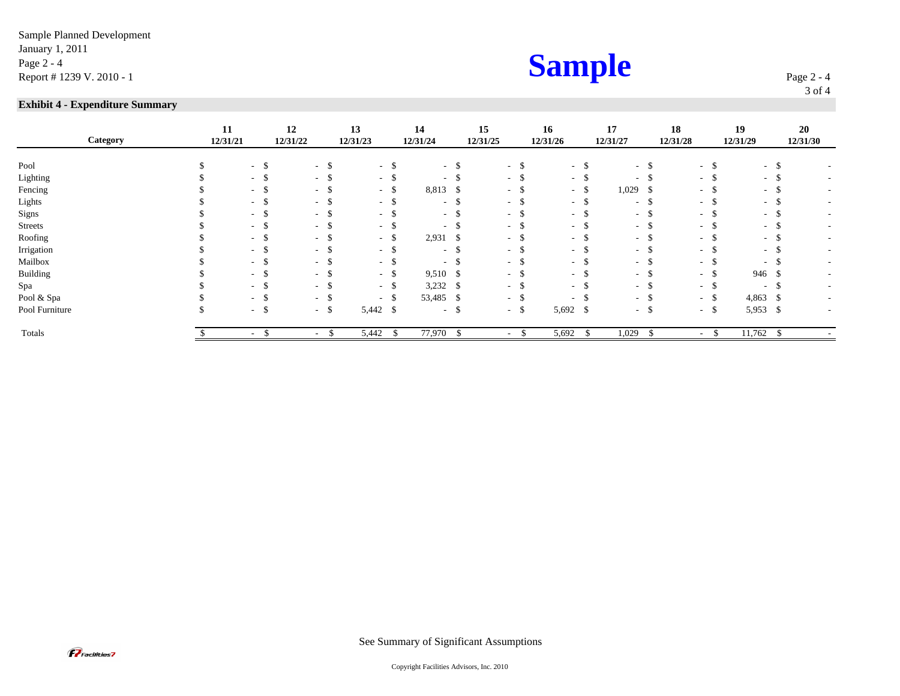### **Exhibit 4 - Expenditure Summary**

| Category       | 11<br>12/31/21 |        | 12<br>12/31/22           |        | 13<br>12/31/23 |                    | 14<br>12/31/24 |      | 15<br>12/31/25 |                             | 16<br>12/31/26 |        | 17<br>12/31/27 |        | 18<br>12/31/28 | 19<br>12/31/29 |               | 20<br>12/31/30 |
|----------------|----------------|--------|--------------------------|--------|----------------|--------------------|----------------|------|----------------|-----------------------------|----------------|--------|----------------|--------|----------------|----------------|---------------|----------------|
| Pool           |                | $-5$   | $\sim$                   | -\$    | $\sim$         | <sup>\$</sup>      | $\sim$         |      | $\sim$         | - \$                        |                | $-$ \$ |                | - \$   | $-5$           | $-$ \$         |               |                |
| Lighting       |                | $-$ \$ | ۰.                       | -\$    | $\sim$         |                    | $\sim$         |      | $\sim$         |                             |                |        | $\sim$         |        | - \$           | $\sim$         |               |                |
|                |                |        |                          |        |                | J,                 |                |      |                |                             |                | - ക    |                |        |                |                | $\mathcal{D}$ |                |
| Fencing        |                | - ১    | $\sim$                   | -\$    | $\sim$         | ъ                  | 8,813          | - \$ | $\sim$         |                             |                | $-$ \$ | $1,029$ \$     |        | - ა            | $\sim$         | . ა           |                |
| Lights         |                | $-$ \$ | $\sim$                   | -\$    | $\sim$         | Ъ                  | $\sim$         |      | $\sim$         |                             |                | - ാ    |                | $-$ \$ | - \$           | $\sim$         | . ა           |                |
| Signs          |                | $-$ \$ | $\sim$                   | -\$    | $\sim$         |                    | $\sim$         |      | $\sim$         |                             | $ -$           |        |                | - \$   | - \$           | $\sim$         | - 25          |                |
| <b>Streets</b> |                | $-$ \$ | $\sim$                   | -\$    | $\sim$         |                    | $\sim$         |      |                |                             | $\sim$         |        |                | - ა    | - \$           | $\sim$         | - 25          |                |
| Roofing        |                | $-$ \$ | $\sim$                   | - \$   | $\sim$         | \$                 | 2,931          | -S   | $\sim$         |                             |                | - ა    |                | - \$   | - \$           | $\sim$         | -S            |                |
| Irrigation     |                | $-$ \$ | $\sim$                   | - \$   | $\sim$         | -\$                | $\sim$ 10 $\,$ | \$   | $\sim$         | - \$                        |                | $-$ \$ |                | - \$   | $-5$           | $\sim$ .       | - \$          |                |
| Mailbox        |                | $-$ \$ | $\sim$                   | -\$    | $\sim$         | \$                 | $\sim$         |      | $\sim$         | $\mathcal{S}_{\mathcal{S}}$ |                | $-5$   |                | - 5    | - \$           | $\sim$         | -S            |                |
| Building       |                | $-$ \$ | $\sim$                   | - \$   | $\sim$         | $\mathcal{S}$      | 9,510 \$       |      | $\sim$         |                             |                | $-$ \$ |                | $-$ \$ | $-5$           | 946 \$         |               |                |
| Spa            |                | $-$ \$ |                          | $-$ \$ | $\sim$         | \$                 | $3,232$ \$     |      | $\sim$         | - \$                        |                | $-5$   |                | $-$ \$ | $-$ \$         | $\sim$ .       | - \$          |                |
| Pool & Spa     |                | $-$ \$ | $\sim$                   | - \$   | $\sim$         | $\mathbf{\hat{S}}$ | 53,485 \$      |      | $\sim$         | - \$                        | $\sim$         |        |                | $-$ \$ | $-$ \$         | $4,863$ \$     |               |                |
| Pool Furniture |                | $-$ \$ | $\sim$                   | - \$   | 5,442 \$       |                    |                | $-5$ |                | $-$ \$                      | 5,692 \$       |        |                | $-$ \$ | $-$ \$         | 5,953 \$       |               |                |
| Totals         |                | $\sim$ | $\overline{\phantom{a}}$ | ъ      | 5,442          | ъ                  | 77,970         | - 5  | $\sim$         |                             | 5,692<br>Þ     | - 79   | 1,029          | Ъ,     | $\sim$         | 11,762         | -S            |                |

Page 2 - 4 3 of 4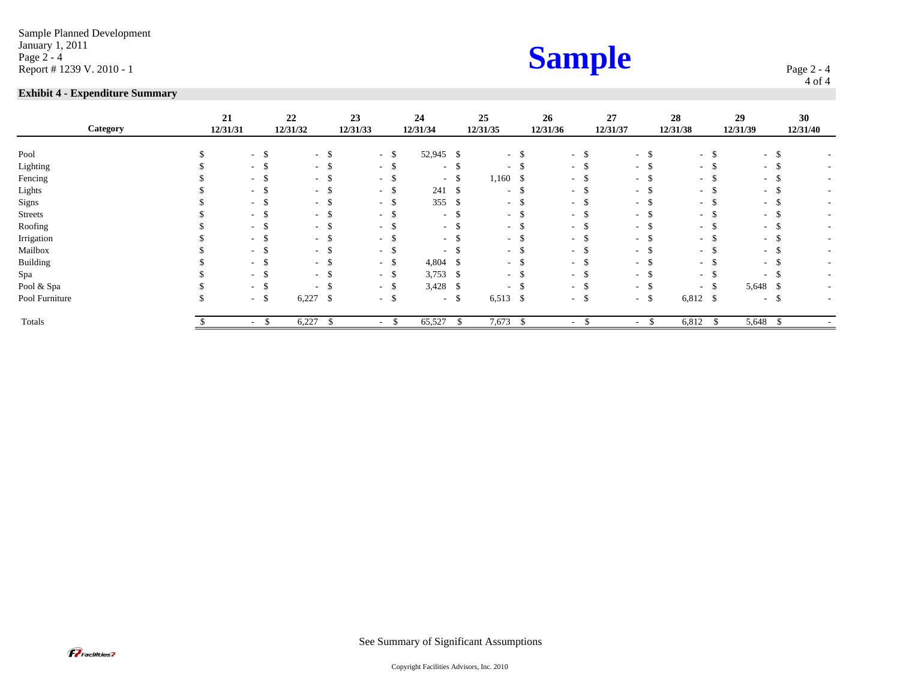Sample Planned Development January 1, 2011 *Page 2 - 4*<br>Page 2 - 4 **Sample** 

### **Exhibit 4 - Expenditure Summary**

| <b>Sample</b> |
|---------------|
|---------------|

Page 2 - 4 4 of 4

| Category       | 21<br>12/31/31 |                | 22<br>12/31/32           | 23<br>12/31/33 |               | 24<br>12/31/34 |      | 25<br>12/31/35 |               | 26<br>12/31/36   |         | 27<br>12/31/37 | 28<br>12/31/38 | 29<br>12/31/39           |      | 30<br>12/31/40           |
|----------------|----------------|----------------|--------------------------|----------------|---------------|----------------|------|----------------|---------------|------------------|---------|----------------|----------------|--------------------------|------|--------------------------|
| Pool           |                | $-$ \$         | $\overline{\phantom{a}}$ | -\$            | \$<br>$\sim$  | 52,945 \$      |      | $\sim$         |               |                  | $-$ \$  | - \$           | $-$ \$         | $\sim$                   | - \$ |                          |
| Lighting       |                | $-5$           | $\overline{\phantom{a}}$ |                | S<br>$\sim$   | $\sim$         |      | $\sim$         |               |                  | $ \sim$ | - 5            | $-$ \$         | ۰.                       |      |                          |
| Fencing        |                | $-$ \$         | $\sim$                   |                | $\sim$        | $\sim$         | S    | 1,160          | $\mathcal{P}$ |                  | - ക     | - 5            | - \$           | $\sim$                   |      |                          |
| Lights         |                | $-$ \$         | $\sim$                   | - 20           | S<br>$\sim$   | 241            | -S   | $\sim$         |               |                  | ം മ     | - ა            | - \$           | $\sim$                   |      | $\sim$                   |
| Signs          |                | $-$ \$         | $\sim$                   | - 35           | -S<br>$\sim$  | 355            | -S   | $\sim$         |               |                  | ം മ     | - 8            | $-$ \$         | ۰.                       |      | $\overline{\phantom{a}}$ |
| <b>Streets</b> |                | $-$ \$         | $\sim$                   |                | \$<br>$\sim$  | ۰.             |      | $\sim$         |               |                  | . ക     | - 5            | - \$           | ۰.                       |      | $\overline{\phantom{a}}$ |
| Roofing        |                | $-$ \$         | $\overline{\phantom{a}}$ |                | $\sim$        | $\sim$         |      | $\sim$         |               | $\sim$           |         | - ക            | - ა            | $\overline{\phantom{a}}$ |      | $\overline{\phantom{a}}$ |
| Irrigation     |                | - \$           | $\sim$                   |                | \$.<br>$\sim$ | $\sim$         |      | $\sim$         |               | $\sim$           |         | $\sim$         | - 5            | ۰.                       |      | $\overline{\phantom{a}}$ |
| Mailbox        |                | $-5$           | $\overline{\phantom{a}}$ |                | -S<br>$\sim$  | $\sim$         |      |                |               | $\sim$           |         | - ა            | - ა            | $\overline{\phantom{a}}$ |      | $\overline{\phantom{a}}$ |
| Building       |                | $-$ \$         | $\sim$                   |                | -\$<br>$\sim$ | $4,804$ \$     |      | $\sim$         |               | $\sim$           |         | - 8            | $-$ \$         | $\sim$                   |      | н.                       |
| Spa            |                | $-$ \$         | $\sim$                   |                | \$<br>$\sim$  | 3,753          | -\$  | $\sim$         |               | $\sim$           |         | $-$ \$         | $-$ \$         | $\overline{\phantom{a}}$ |      | н.                       |
| Pool & Spa     |                | $-5$           | $\overline{\phantom{a}}$ |                | -\$<br>$\sim$ | 3,428          | - \$ |                |               | $\sim$ 100 $\mu$ |         | $-$ \$         | $-$ \$         | 5,648 \$                 |      | н.                       |
| Pool Furniture |                | $-$ \$         | 6,227                    | $\mathbf{s}$   | \$<br>$\sim$  | $\sim$ 10 $\,$ | -\$  | 6,513          | \$            |                  | $-$ \$  | $-$ \$         | $6,812$ \$     | $\sim$                   | . ა  | н.                       |
| Totals         |                | $\sim$<br>- 75 | 6,227                    |                | $\sim$        | 65,527         | \$   | 7,673          |               | $\sim$           |         | $\sim$         | 6,812          | 5,648                    |      |                          |

**P**Facilities7

See Summary of Significant Assumptions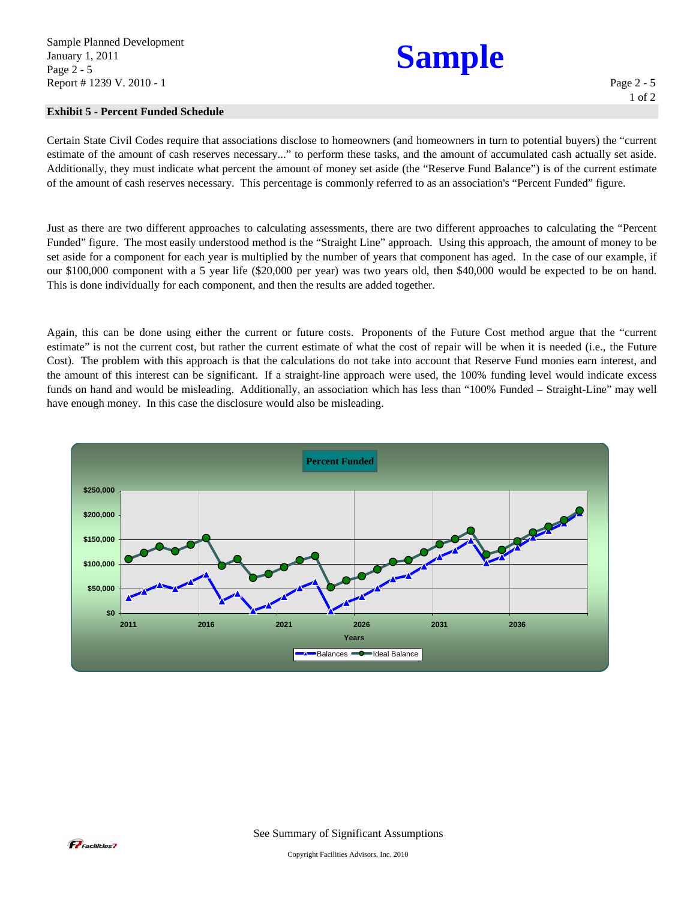### **Exhibit 5 - Percent Funded Schedule**

Certain State Civil Codes require that associations disclose to homeowners (and homeowners in turn to potential buyers) the "current estimate of the amount of cash reserves necessary..." to perform these tasks, and the amount of accumulated cash actually set aside. Additionally, they must indicate what percent the amount of money set aside (the "Reserve Fund Balance") is of the current estimate of the amount of cash reserves necessary. This percentage is commonly referred to as an association's "Percent Funded" figure.

Just as there are two different approaches to calculating assessments, there are two different approaches to calculating the "Percent Funded" figure. The most easily understood method is the "Straight Line" approach. Using this approach, the amount of money to be set aside for a component for each year is multiplied by the number of years that component has aged. In the case of our example, if our \$100,000 component with a 5 year life (\$20,000 per year) was two years old, then \$40,000 would be expected to be on hand. This is done individually for each component, and then the results are added together.

Again, this can be done using either the current or future costs. Proponents of the Future Cost method argue that the "current estimate" is not the current cost, but rather the current estimate of what the cost of repair will be when it is needed (i.e., the Future Cost). The problem with this approach is that the calculations do not take into account that Reserve Fund monies earn interest, and the amount of this interest can be significant. If a straight-line approach were used, the 100% funding level would indicate excess funds on hand and would be misleading. Additionally, an association which has less than "100% Funded – Straight-Line" may well have enough money. In this case the disclosure would also be misleading.



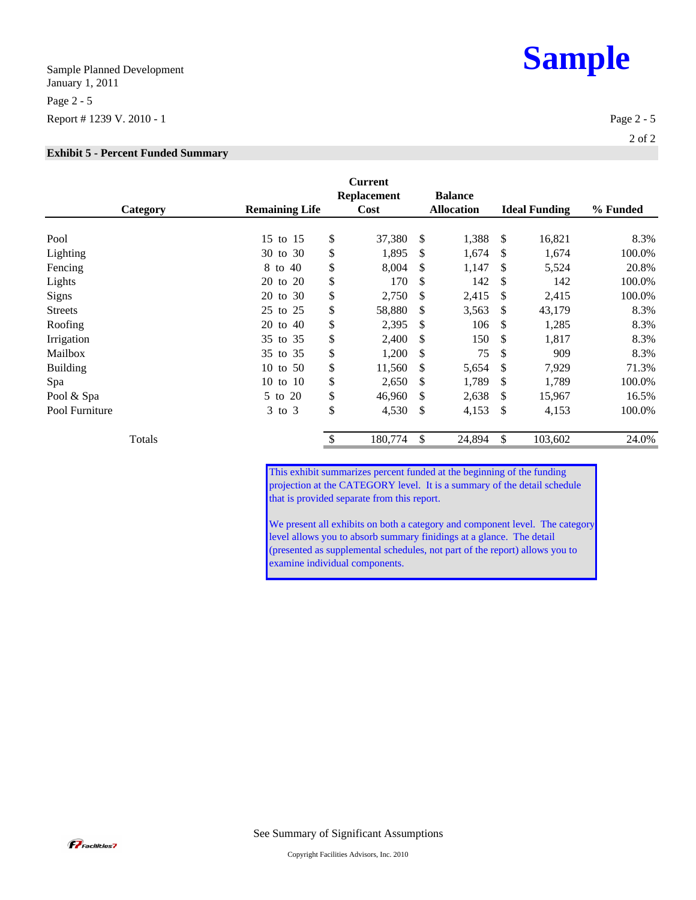Sample Planned Development January 1, 2011 Page 2 - 5 Report # 1239 V. 2010 - 1 Page 2 - 5

### **Exhibit 5 - Percent Funded Summary**

| Category        | <b>Remaining Life</b> | <b>Current</b><br><b>Replacement</b><br>Cost | <b>Balance</b><br><b>Allocation</b> |     | <b>Ideal Funding</b> | % Funded |
|-----------------|-----------------------|----------------------------------------------|-------------------------------------|-----|----------------------|----------|
| Pool            | 15 to 15              | \$<br>37,380                                 | \$<br>1,388                         | S   | 16,821               | 8.3%     |
| Lighting        | 30 to 30              | \$<br>1,895                                  | \$<br>1,674                         | \$  | 1,674                | 100.0%   |
| Fencing         | 8 to 40               | \$<br>8,004                                  | \$<br>1,147                         | \$  | 5,524                | 20.8%    |
| Lights          | 20 to 20              | \$<br>170                                    | \$<br>142                           | \$  | 142                  | 100.0%   |
| Signs           | 20 to 30              | \$<br>2,750                                  | \$<br>2,415                         | \$  | 2,415                | 100.0%   |
| <b>Streets</b>  | 25 to 25              | \$<br>58,880                                 | \$<br>3,563                         | S   | 43,179               | 8.3%     |
| Roofing         | 20 to 40              | \$<br>2,395                                  | \$<br>106                           | \$  | 1,285                | 8.3%     |
| Irrigation      | to $35$<br>35         | \$<br>2,400                                  | \$<br>150                           | \$  | 1,817                | 8.3%     |
| Mailbox         | 35 to 35              | \$<br>1,200                                  | \$<br>75                            | \$  | 909                  | 8.3%     |
| <b>Building</b> | 10 to 50              | \$<br>11,560                                 | \$<br>5,654                         | \$  | 7,929                | 71.3%    |
| Spa             | 10 to 10              | \$<br>2,650                                  | \$<br>1,789                         | \$  | 1,789                | 100.0%   |
| Pool & Spa      | 5 to 20               | \$<br>46,960                                 | \$<br>2,638                         | \$. | 15,967               | 16.5%    |
| Pool Furniture  | $3$ to $3$            | \$<br>4,530                                  | \$<br>4,153                         | \$  | 4,153                | 100.0%   |
| Totals          |                       | \$<br>180,774                                | \$<br>24,894                        | \$  | 103,602              | 24.0%    |

This exhibit summarizes percent funded at the beginning of the funding projection at the CATEGORY level. It is a summary of the detail schedule that is provided separate from this report.

We present all exhibits on both a category and component level. The category level allows you to absorb summary finidings at a glance. The detail (presented as supplemental schedules, not part of the report) allows you to examine individual components.

**P** Facilities 7



2 of 2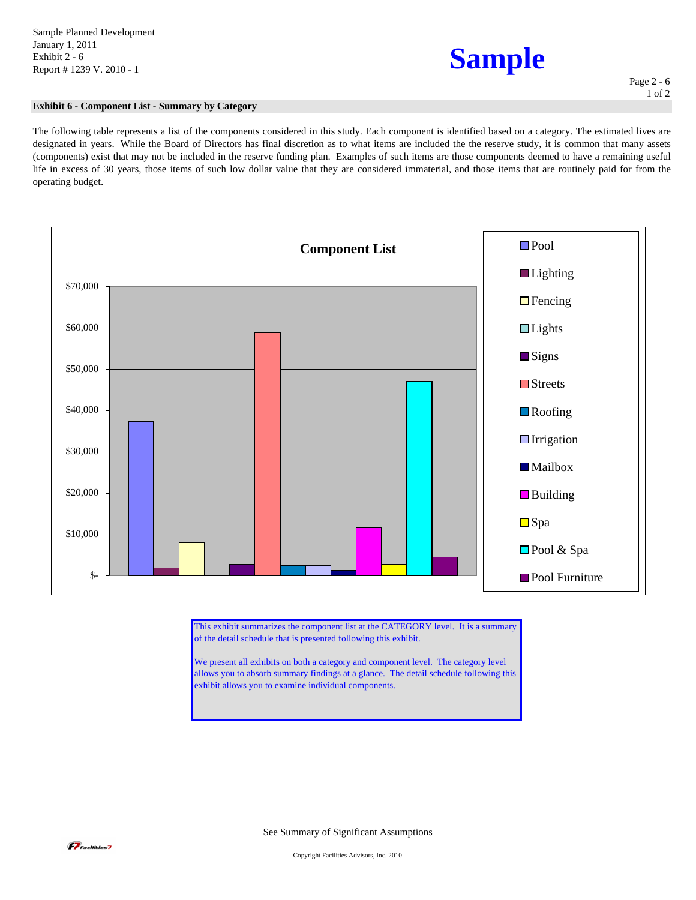## **Sample**

### **Exhibit 6 - Component List - Summary by Category**

The following table represents a list of the components considered in this study. Each component is identified based on a category. The estimated lives are designated in years. While the Board of Directors has final discretion as to what items are included the the reserve study, it is common that many assets (components) exist that may not be included in the reserve funding plan. Examples of such items are those components deemed to have a remaining useful life in excess of 30 years, those items of such low dollar value that they are considered immaterial, and those items that are routinely paid for from the operating budget.



This exhibit summarizes the component list at the CATEGORY level. It is a summary of the detail schedule that is presented following this exhibit.

We present all exhibits on both a category and component level. The category level allows you to absorb summary findings at a glance. The detail schedule following this exhibit allows you to examine individual components.

See Summary of Significant Assumptions

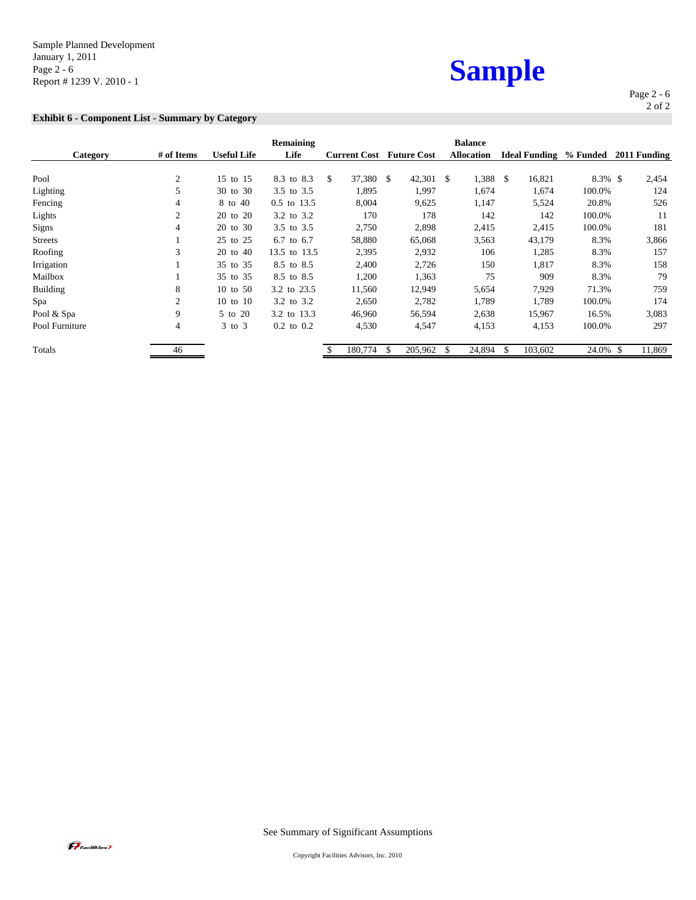Sample Planned Development January 1, 2011 Page 2 - 6 Page 2 - 6<br>Page 2 - 6<br>Report # 1239 V. 2010 - 1

### **Exhibit 6 - Component List - Summary by Category**

| sample |  |
|--------|--|
|        |  |

Page 2 - 6 2 of 2

| Category        | # of Items     | <b>Useful Life</b> | Remaining<br>Life | <b>Current Cost</b> | <b>Future Cost</b> | <b>Balance</b><br><b>Allocation</b> | <b>Ideal Funding</b> | % Funded   | 2011 Funding |
|-----------------|----------------|--------------------|-------------------|---------------------|--------------------|-------------------------------------|----------------------|------------|--------------|
|                 |                |                    |                   |                     |                    |                                     |                      |            |              |
| Pool            | $\overline{2}$ | 15 to 15           | 8.3 to 8.3        | 37,380<br>\$.       | 42,301<br>- \$     | 1,388<br>-S                         | \$<br>16,821         | $8.3\%$ \$ | 2,454        |
| Lighting        | 5              | 30 to 30           | 3.5 to 3.5        | 1,895               | 1,997              | 1,674                               | 1,674                | 100.0%     | 124          |
| Fencing         | 4              | 8 to 40            | 0.5 to 13.5       | 8,004               | 9,625              | 1,147                               | 5,524                | 20.8%      | 526          |
| Lights          | $\overline{2}$ | 20 to 20           | 3.2 to 3.2        | 170                 | 178                | 142                                 | 142                  | 100.0%     | 11           |
| Signs           | 4              | 20 to 30           | 3.5 to 3.5        | 2,750               | 2,898              | 2,415                               | 2,415                | 100.0%     | 181          |
| <b>Streets</b>  |                | 25 to 25           | 6.7 to 6.7        | 58,880              | 65,068             | 3,563                               | 43,179               | 8.3%       | 3,866        |
| Roofing         | 3              | 20 to 40           | 13.5 to 13.5      | 2,395               | 2,932              | 106                                 | 1,285                | 8.3%       | 157          |
| Irrigation      |                | 35 to 35           | 8.5 to 8.5        | 2,400               | 2,726              | 150                                 | 1,817                | 8.3%       | 158          |
| Mailbox         |                | 35 to 35           | 8.5 to 8.5        | 1,200               | 1,363              | 75                                  | 909                  | 8.3%       | 79           |
| <b>Building</b> | 8              | 10 to 50           | 3.2 to 23.5       | 11,560              | 12,949             | 5,654                               | 7,929                | 71.3%      | 759          |
| Spa             | $\overline{2}$ | 10 to 10           | 3.2 to 3.2        | 2,650               | 2,782              | 1,789                               | 1,789                | 100.0%     | 174          |
| Pool & Spa      | 9              | 5 to 20            | 3.2 to 13.3       | 46,960              | 56,594             | 2,638                               | 15,967               | 16.5%      | 3,083        |
| Pool Furniture  | 4              | $3$ to $3$         | $0.2$ to $0.2$    | 4,530               | 4,547              | 4,153                               | 4,153                | 100.0%     | 297          |
| Totals          | 46             |                    |                   | 180,774             | 205,962            | 24,894<br>\$                        | \$<br>103,602        | 24.0% \$   | 11,869       |

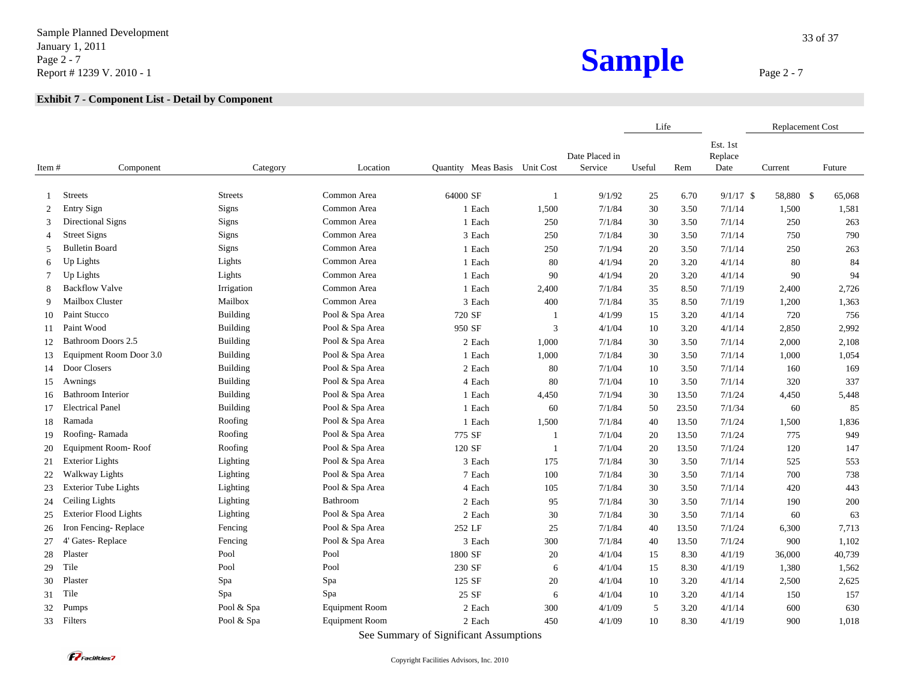Sample Planned Development January 1, 2011 Page 2 - 7 Page 2 - 7<br>
Report # 1239 V. 2010 - 1<br>
Report # 1239 V. 2010 - 1

|              |                              |                 |                       |                               |              |                           | Life   |       |                             | <b>Replacement Cost</b> |        |
|--------------|------------------------------|-----------------|-----------------------|-------------------------------|--------------|---------------------------|--------|-------|-----------------------------|-------------------------|--------|
| Item #       | Component                    | Category        | Location              | Quantity Meas Basis Unit Cost |              | Date Placed in<br>Service | Useful | Rem   | Est. 1st<br>Replace<br>Date | Current                 | Future |
| $\mathbf{1}$ | <b>Streets</b>               | <b>Streets</b>  | Common Area           | 64000 SF                      | $\mathbf{1}$ | 9/1/92                    | 25     | 6.70  | $9/1/17$ \$                 | 58,880 \$               | 65,068 |
| 2            | <b>Entry Sign</b>            | Signs           | Common Area           | 1 Each                        | 1,500        | 7/1/84                    | 30     | 3.50  | 7/1/14                      | 1,500                   | 1,581  |
| 3            | Directional Signs            | Signs           | Common Area           | 1 Each                        | 250          | 7/1/84                    | 30     | 3.50  | 7/1/14                      | 250                     | 263    |
| 4            | <b>Street Signs</b>          | Signs           | Common Area           | 3 Each                        | 250          | 7/1/84                    | 30     | 3.50  | 7/1/14                      | 750                     | 790    |
| 5            | <b>Bulletin Board</b>        | Signs           | Common Area           | 1 Each                        | 250          | 7/1/94                    | 20     | 3.50  | 7/1/14                      | 250                     | 263    |
| 6            | Up Lights                    | Lights          | Common Area           | 1 Each                        | 80           | 4/1/94                    | 20     | 3.20  | 4/1/14                      | 80                      | 84     |
| 7            | Up Lights                    | Lights          | Common Area           | 1 Each                        | 90           | 4/1/94                    | 20     | 3.20  | 4/1/14                      | 90                      | 94     |
| 8            | <b>Backflow Valve</b>        | Irrigation      | Common Area           | 1 Each                        | 2,400        | 7/1/84                    | 35     | 8.50  | 7/1/19                      | 2,400                   | 2,726  |
| 9            | Mailbox Cluster              | Mailbox         | Common Area           | 3 Each                        | 400          | 7/1/84                    | 35     | 8.50  | 7/1/19                      | 1,200                   | 1,363  |
| 10           | Paint Stucco                 | <b>Building</b> | Pool & Spa Area       | 720 SF                        | $\mathbf{1}$ | 4/1/99                    | 15     | 3.20  | 4/1/14                      | 720                     | 756    |
| 11           | Paint Wood                   | <b>Building</b> | Pool & Spa Area       | 950 SF                        | 3            | 4/1/04                    | 10     | 3.20  | 4/1/14                      | 2,850                   | 2,992  |
| 12           | Bathroom Doors 2.5           | <b>Building</b> | Pool & Spa Area       | 2 Each                        | 1,000        | 7/1/84                    | 30     | 3.50  | 7/1/14                      | 2,000                   | 2,108  |
| 13           | Equipment Room Door 3.0      | <b>Building</b> | Pool & Spa Area       | 1 Each                        | 1,000        | 7/1/84                    | 30     | 3.50  | 7/1/14                      | 1,000                   | 1,054  |
| 14           | Door Closers                 | <b>Building</b> | Pool & Spa Area       | 2 Each                        | 80           | 7/1/04                    | 10     | 3.50  | 7/1/14                      | 160                     | 169    |
| 15           | Awnings                      | Building        | Pool & Spa Area       | 4 Each                        | 80           | 7/1/04                    | 10     | 3.50  | 7/1/14                      | 320                     | 337    |
| 16           | <b>Bathroom Interior</b>     | <b>Building</b> | Pool & Spa Area       | 1 Each                        | 4,450        | 7/1/94                    | 30     | 13.50 | 7/1/24                      | 4,450                   | 5,448  |
| 17           | <b>Electrical Panel</b>      | <b>Building</b> | Pool & Spa Area       | 1 Each                        | 60           | 7/1/84                    | 50     | 23.50 | 7/1/34                      | 60                      | 85     |
| 18           | Ramada                       | Roofing         | Pool & Spa Area       | 1 Each                        | 1,500        | 7/1/84                    | 40     | 13.50 | 7/1/24                      | 1,500                   | 1,836  |
| 19           | Roofing-Ramada               | Roofing         | Pool & Spa Area       | 775 SF                        | $\mathbf{1}$ | 7/1/04                    | 20     | 13.50 | 7/1/24                      | 775                     | 949    |
| 20           | Equipment Room-Roof          | Roofing         | Pool & Spa Area       | 120 SF                        | $\mathbf{1}$ | 7/1/04                    | 20     | 13.50 | 7/1/24                      | 120                     | 147    |
| 21           | <b>Exterior Lights</b>       | Lighting        | Pool & Spa Area       | 3 Each                        | 175          | 7/1/84                    | 30     | 3.50  | 7/1/14                      | 525                     | 553    |
| 22           | <b>Walkway Lights</b>        | Lighting        | Pool & Spa Area       | 7 Each                        | 100          | 7/1/84                    | 30     | 3.50  | 7/1/14                      | 700                     | 738    |
| 23           | <b>Exterior Tube Lights</b>  | Lighting        | Pool & Spa Area       | 4 Each                        | 105          | 7/1/84                    | 30     | 3.50  | 7/1/14                      | 420                     | 443    |
| 24           | Ceiling Lights               | Lighting        | Bathroom              | 2 Each                        | 95           | 7/1/84                    | 30     | 3.50  | 7/1/14                      | 190                     | 200    |
| 25           | <b>Exterior Flood Lights</b> | Lighting        | Pool & Spa Area       | 2 Each                        | 30           | 7/1/84                    | 30     | 3.50  | 7/1/14                      | 60                      | 63     |
| 26           | Iron Fencing-Replace         | Fencing         | Pool & Spa Area       | 252 LF                        | 25           | 7/1/84                    | 40     | 13.50 | 7/1/24                      | 6,300                   | 7,713  |
| 27           | 4' Gates-Replace             | Fencing         | Pool & Spa Area       | 3 Each                        | 300          | 7/1/84                    | 40     | 13.50 | 7/1/24                      | 900                     | 1,102  |
| 28           | Plaster                      | Pool            | Pool                  | 1800 SF                       | 20           | 4/1/04                    | 15     | 8.30  | 4/1/19                      | 36,000                  | 40,739 |
| 29           | Tile                         | Pool            | Pool                  | 230 SF                        | 6            | 4/1/04                    | 15     | 8.30  | 4/1/19                      | 1,380                   | 1,562  |
| 30           | Plaster                      | Spa             | Spa                   | 125 SF                        | 20           | 4/1/04                    | 10     | 3.20  | 4/1/14                      | 2,500                   | 2,625  |
| 31           | Tile                         | Spa             | Spa                   | 25 SF                         | 6            | 4/1/04                    | 10     | 3.20  | 4/1/14                      | 150                     | 157    |
| 32           | Pumps                        | Pool & Spa      | <b>Equipment Room</b> | 2 Each                        | 300          | 4/1/09                    | 5      | 3.20  | 4/1/14                      | 600                     | 630    |
| 33           | Filters                      | Pool & Spa      | <b>Equipment Room</b> | 2 Each                        | 450          | 4/1/09                    | 10     | 8.30  | 4/1/19                      | 900                     | 1,018  |
|              |                              |                 |                       |                               |              |                           |        |       |                             |                         |        |

See Summary of Significant Assumptions

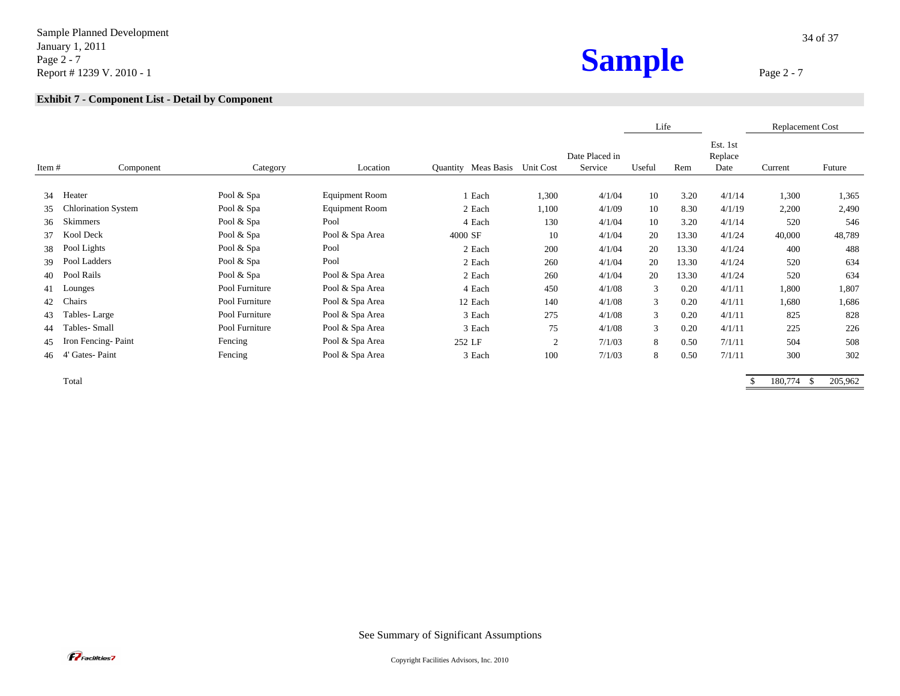Sample Planned Development January 1, 2011 Page 2 - 7 Page 2 - 7<br>
Report # 1239 V. 2010 - 1<br>
Report # 1239 V. 2010 - 1

|       |                            |                |                       |                               |       |                           | Life           |       |                             | <b>Replacement Cost</b> |        |
|-------|----------------------------|----------------|-----------------------|-------------------------------|-------|---------------------------|----------------|-------|-----------------------------|-------------------------|--------|
| Item# | Component                  | Category       | Location              | Quantity Meas Basis Unit Cost |       | Date Placed in<br>Service | Useful         | Rem   | Est. 1st<br>Replace<br>Date | Current                 | Future |
| 34    | Heater                     | Pool & Spa     | Equipment Room        | 1 Each                        | 1,300 | 4/1/04                    | 10             | 3.20  | 4/1/14                      | 1,300                   | 1,365  |
| 35    | <b>Chlorination System</b> | Pool & Spa     | <b>Equipment Room</b> | 2 Each                        | 1,100 | 4/1/09                    | 10             | 8.30  | 4/1/19                      | 2,200                   | 2,490  |
| 36    | Skimmers                   | Pool & Spa     | Pool                  | 4 Each                        | 130   | 4/1/04                    | 10             | 3.20  | 4/1/14                      | 520                     | 546    |
| 37    | Kool Deck                  | Pool & Spa     | Pool & Spa Area       | 4000 SF                       | 10    | 4/1/04                    | 20             | 13.30 | 4/1/24                      | 40,000                  | 48,789 |
| 38    | Pool Lights                | Pool & Spa     | Pool                  | 2 Each                        | 200   | 4/1/04                    | 20             | 13.30 | 4/1/24                      | 400                     | 488    |
| 39    | Pool Ladders               | Pool & Spa     | Pool                  | 2 Each                        | 260   | 4/1/04                    | 20             | 13.30 | 4/1/24                      | 520                     | 634    |
| 40    | Pool Rails                 | Pool & Spa     | Pool & Spa Area       | 2 Each                        | 260   | 4/1/04                    | 20             | 13.30 | 4/1/24                      | 520                     | 634    |
| 41    | Lounges                    | Pool Furniture | Pool & Spa Area       | 4 Each                        | 450   | 4/1/08                    | 3              | 0.20  | 4/1/11                      | 1,800                   | 1,807  |
| 42    | Chairs                     | Pool Furniture | Pool & Spa Area       | 12 Each                       | 140   | 4/1/08                    | 3              | 0.20  | 4/1/11                      | 1,680                   | 1,686  |
| 43    | Tables-Large               | Pool Furniture | Pool & Spa Area       | 3 Each                        | 275   | 4/1/08                    | $\mathfrak{Z}$ | 0.20  | 4/1/11                      | 825                     | 828    |
| 44    | Tables- Small              | Pool Furniture | Pool & Spa Area       | 3 Each                        | 75    | 4/1/08                    | 3              | 0.20  | 4/1/11                      | 225                     | 226    |
| 45    | Iron Fencing-Paint         | Fencing        | Pool & Spa Area       | 252 LF                        | 2     | 7/1/03                    | 8              | 0.50  | 7/1/11                      | 504                     | 508    |
| 46    | 4' Gates-Paint             | Fencing        | Pool & Spa Area       | 3 Each                        | 100   | 7/1/03                    | 8              | 0.50  | 7/1/11                      | 300                     | 302    |

Total \$ 180,774 \$ 205,962

See Summary of Significant Assumptions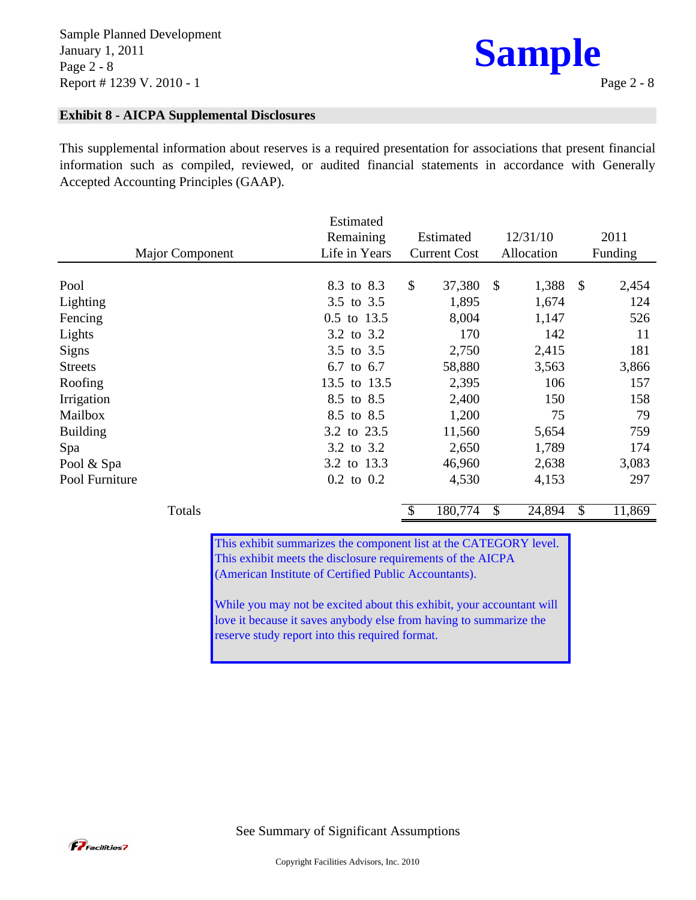

### **Exhibit 8 - AICPA Supplemental Disclosures**

This supplemental information about reserves is a required presentation for associations that present financial information such as compiled, reviewed, or audited financial statements in accordance with Generally Accepted Accounting Principles (GAAP).

|                        | Estimated      |                     |                        |                       |
|------------------------|----------------|---------------------|------------------------|-----------------------|
|                        | Remaining      | Estimated           | 12/31/10               | 2011                  |
| <b>Major Component</b> | Life in Years  | <b>Current Cost</b> | Allocation             | Funding               |
|                        |                |                     |                        |                       |
| Pool                   | 8.3 to 8.3     | \$<br>37,380        | $\mathcal{S}$<br>1,388 | $\mathbb{S}$<br>2,454 |
| Lighting               | 3.5 to 3.5     | 1,895               | 1,674                  | 124                   |
| Fencing                | 0.5 to 13.5    | 8,004               | 1,147                  | 526                   |
| Lights                 | 3.2 to 3.2     | 170                 | 142                    | 11                    |
| <b>Signs</b>           | 3.5 to 3.5     | 2,750               | 2,415                  | 181                   |
| <b>Streets</b>         | 6.7 to 6.7     | 58,880              | 3,563                  | 3,866                 |
| Roofing                | 13.5 to 13.5   | 2,395               | 106                    | 157                   |
| Irrigation             | 8.5 to 8.5     | 2,400               | 150                    | 158                   |
| Mailbox                | 8.5 to 8.5     | 1,200               | 75                     | 79                    |
| <b>Building</b>        | 3.2 to 23.5    | 11,560              | 5,654                  | 759                   |
| Spa                    | 3.2 to 3.2     | 2,650               | 1,789                  | 174                   |
| Pool & Spa             | 3.2 to 13.3    | 46,960              | 2,638                  | 3,083                 |
| Pool Furniture         | $0.2$ to $0.2$ | 4,530               | 4,153                  | 297                   |

This exhibit summarizes the component list at the CATEGORY level. This exhibit meets the disclosure requirements of the AICPA (American Institute of Certified Public Accountants).

Totals **\$** 180,774 \$ 24,894 \$ 11,869

While you may not be excited about this exhibit, your accountant will love it because it saves anybody else from having to summarize the reserve study report into this required format.

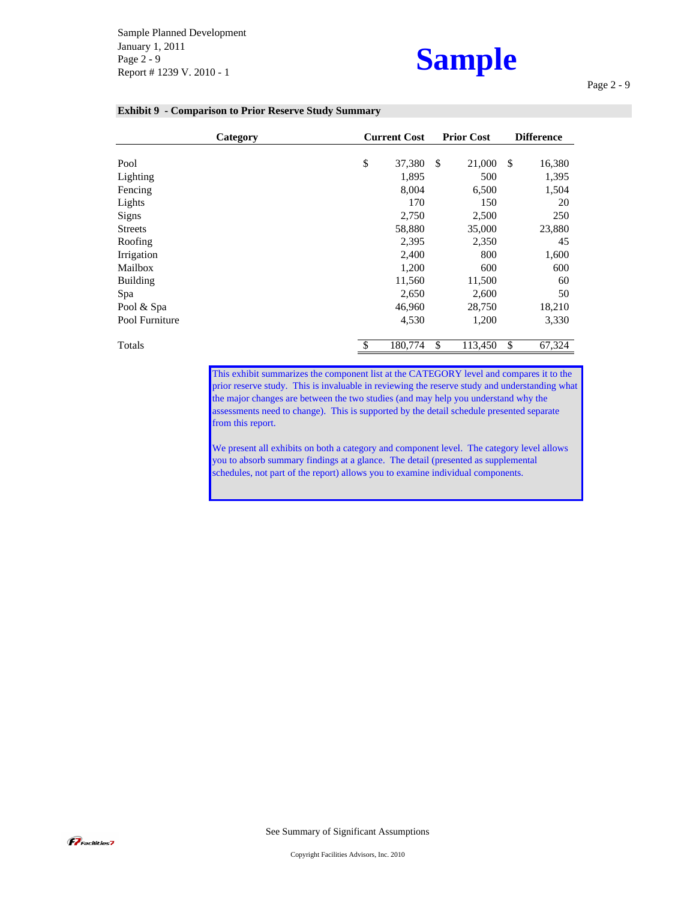Sample Planned Development January 1, 2011 Page 2 - 9 Report # 1239 V. 2010 - 1

## **Sample**

Page 2 - 9

| <b>Exhibit 9 - Comparison to Prior Reserve Study Summary</b> |  |  |  |  |  |  |
|--------------------------------------------------------------|--|--|--|--|--|--|
|--------------------------------------------------------------|--|--|--|--|--|--|

|                 | Category |            | <b>Current Cost</b> |               | <b>Prior Cost</b> | <b>Difference</b> |
|-----------------|----------|------------|---------------------|---------------|-------------------|-------------------|
| Pool            |          | \$         | 37,380              | <sup>\$</sup> | 21,000            | \$<br>16,380      |
| Lighting        |          |            | 1,895               |               | 500               | 1,395             |
| Fencing         |          |            | 8,004               |               | 6,500             | 1,504             |
| Lights          |          |            | 170                 |               | 150               | 20                |
| <b>Signs</b>    |          |            | 2,750               |               | 2,500             | 250               |
| <b>Streets</b>  |          |            | 58,880              |               | 35,000            | 23,880            |
| Roofing         |          |            | 2,395               |               | 2,350             | 45                |
| Irrigation      |          |            | 2,400               |               | 800               | 1,600             |
| Mailbox         |          |            | 1,200               |               | 600               | 600               |
| <b>Building</b> |          |            | 11,560              |               | 11,500            | 60                |
| Spa             |          |            | 2,650               |               | 2,600             | 50                |
| Pool & Spa      |          |            | 46,960              |               | 28,750            | 18,210            |
| Pool Furniture  |          |            | 4,530               |               | 1,200             | 3,330             |
| Totals          |          | $\sqrt{3}$ | 180,774             | \$            | 113,450           | \$<br>67,324      |

This exhibit summarizes the component list at the CATEGORY level and compares it to the prior reserve study. This is invaluable in reviewing the reserve study and understanding what the major changes are between the two studies (and may help you understand why the assessments need to change). This is supported by the detail schedule presented separate from this report.

We present all exhibits on both a category and component level. The category level allows you to absorb summary findings at a glance. The detail (presented as supplemental schedules, not part of the report) allows you to examine individual components.